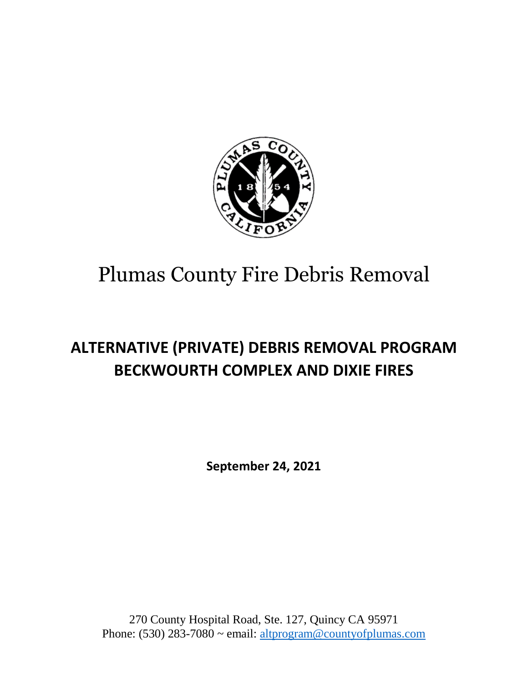

# **ALTERNATIVE (PRIVATE) DEBRIS REMOVAL PROGRAM BECKWOURTH COMPLEX AND DIXIE FIRES**

**September 24, 2021**

270 County Hospital Road, Ste. 127, Quincy CA 95971 Phone: (530) 283-7080 ~ email: [altprogram@countyofplumas.com](mailto:altprogram@countyofplumas.com)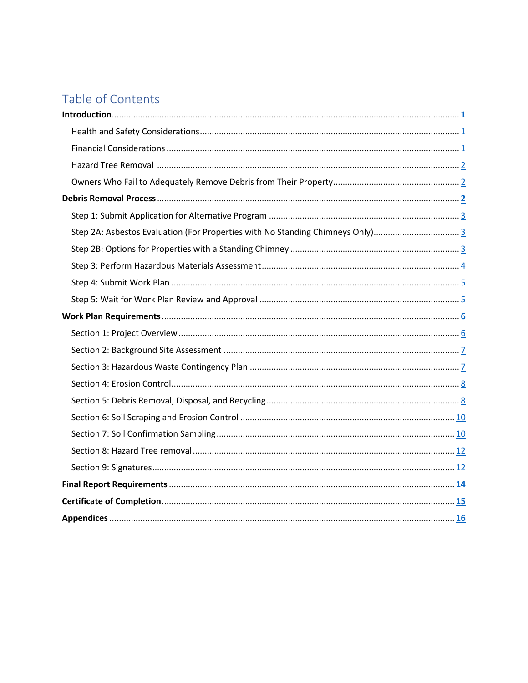# Table of Contents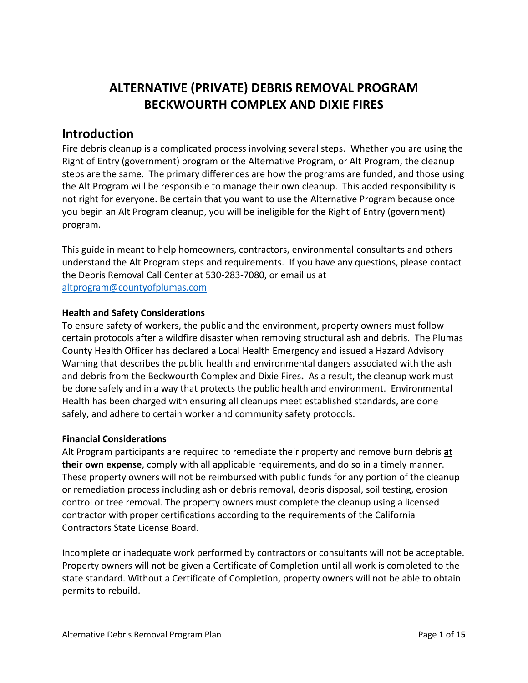# **ALTERNATIVE (PRIVATE) DEBRIS REMOVAL PROGRAM BECKWOURTH COMPLEX AND DIXIE FIRES**

## <span id="page-2-0"></span>**Introduction**

Fire debris cleanup is a complicated process involving several steps. Whether you are using the Right of Entry (government) program or the Alternative Program, or Alt Program, the cleanup steps are the same. The primary differences are how the programs are funded, and those using the Alt Program will be responsible to manage their own cleanup. This added responsibility is not right for everyone. Be certain that you want to use the Alternative Program because once you begin an Alt Program cleanup, you will be ineligible for the Right of Entry (government) program.

This guide in meant to help homeowners, contractors, environmental consultants and others understand the Alt Program steps and requirements. If you have any questions, please contact the Debris Removal Call Center at 530-283-7080, or email us at [altprogram@countyofplumas.com](mailto:altprogram@countyofplumas.com)

#### <span id="page-2-1"></span>**Health and Safety Considerations**

To ensure safety of workers, the public and the environment, property owners must follow certain protocols after a wildfire disaster when removing structural ash and debris. The Plumas County Health Officer has declared a Local Health Emergency and issued a Hazard Advisory Warning that describes the public health and environmental dangers associated with the ash and debris from the Beckwourth Complex and Dixie Fires**.** As a result, the cleanup work must be done safely and in a way that protects the public health and environment. Environmental Health has been charged with ensuring all cleanups meet established standards, are done safely, and adhere to certain worker and community safety protocols.

#### <span id="page-2-2"></span>**Financial Considerations**

Alt Program participants are required to remediate their property and remove burn debris **at their own expense**, comply with all applicable requirements, and do so in a timely manner. These property owners will not be reimbursed with public funds for any portion of the cleanup or remediation process including ash or debris removal, debris disposal, soil testing, erosion control or tree removal. The property owners must complete the cleanup using a licensed contractor with proper certifications according to the requirements of the California Contractors State License Board.

Incomplete or inadequate work performed by contractors or consultants will not be acceptable. Property owners will not be given a Certificate of Completion until all work is completed to the state standard. Without a Certificate of Completion, property owners will not be able to obtain permits to rebuild.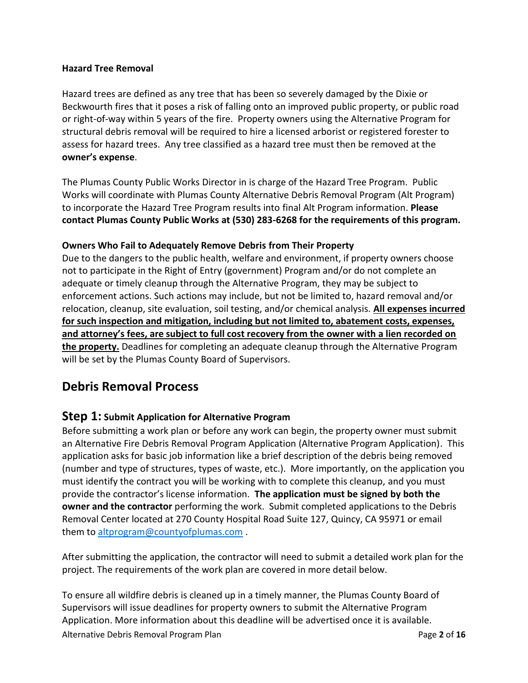#### <span id="page-3-0"></span>**Hazard Tree Removal**

Hazard trees are defined as any tree that has been so severely damaged by the Dixie or Beckwourth fires that it poses a risk of falling onto an improved public property, or public road or right-of-way within 5 years of the fire. Property owners using the Alternative Program for structural debris removal will be required to hire a licensed arborist or registered forester to assess for hazard trees. Any tree classified as a hazard tree must then be removed at the **owner's expense**.

The Plumas County Public Works Director in is charge of the Hazard Tree Program. Public Works will coordinate with Plumas County Alternative Debris Removal Program (Alt Program) to incorporate the Hazard Tree Program results into final Alt Program information. **Please contact Plumas County Public Works at (530) 283-6268 for the requirements of this program.**

#### <span id="page-3-1"></span>**Owners Who Fail to Adequately Remove Debris from Their Property**

Due to the dangers to the public health, welfare and environment, if property owners choose not to participate in the Right of Entry (government) Program and/or do not complete an adequate or timely cleanup through the Alternative Program, they may be subject to enforcement actions. Such actions may include, but not be limited to, hazard removal and/or relocation, cleanup, site evaluation, soil testing, and/or chemical analysis. **All expenses incurred for such inspection and mitigation, including but not limited to, abatement costs, expenses, and attorney's fees, are subject to full cost recovery from the owner with a lien recorded on the property.** Deadlines for completing an adequate cleanup through the Alternative Program will be set by the Plumas County Board of Supervisors.

## <span id="page-3-2"></span>**Debris Removal Process**

#### <span id="page-3-3"></span>**Step 1: Submit Application for Alternative Program**

Before submitting a work plan or before any work can begin, the property owner must submit an Alternative Fire Debris Removal Program Application (Alternative Program Application). This application asks for basic job information like a brief description of the debris being removed (number and type of structures, types of waste, etc.). More importantly, on the application you must identify the contract you will be working with to complete this cleanup, and you must provide the contractor's license information. **The application must be signed by both the owner and the contractor** performing the work. Submit completed applications to the Debris Removal Center located at 270 County Hospital Road Suite 127, Quincy, CA 95971 or email them t[o altprogram@countyofplumas.com](mailto:altprogram@countyofplumas.com) .

After submitting the application, the contractor will need to submit a detailed work plan for the project. The requirements of the work plan are covered in more detail below.

Alternative Debris Removal Program Plan Page **2** of **16** To ensure all wildfire debris is cleaned up in a timely manner, the Plumas County Board of Supervisors will issue deadlines for property owners to submit the Alternative Program Application. More information about this deadline will be advertised once it is available.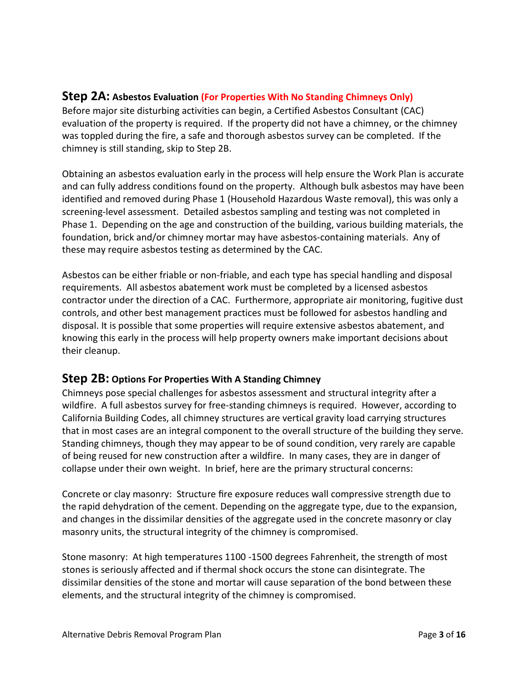## <span id="page-4-0"></span>**Step 2A: Asbestos Evaluation (For Properties With No Standing Chimneys Only)**

Before major site disturbing activities can begin, a Certified Asbestos Consultant (CAC) evaluation of the property is required. If the property did not have a chimney, or the chimney was toppled during the fire, a safe and thorough asbestos survey can be completed. If the chimney is still standing, skip to Step 2B.

Obtaining an asbestos evaluation early in the process will help ensure the Work Plan is accurate and can fully address conditions found on the property. Although bulk asbestos may have been identified and removed during Phase 1 (Household Hazardous Waste removal), this was only a screening-level assessment. Detailed asbestos sampling and testing was not completed in Phase 1. Depending on the age and construction of the building, various building materials, the foundation, brick and/or chimney mortar may have asbestos-containing materials. Any of these may require asbestos testing as determined by the CAC.

Asbestos can be either friable or non-friable, and each type has special handling and disposal requirements. All asbestos abatement work must be completed by a licensed asbestos contractor under the direction of a CAC. Furthermore, appropriate air monitoring, fugitive dust controls, and other best management practices must be followed for asbestos handling and disposal. It is possible that some properties will require extensive asbestos abatement, and knowing this early in the process will help property owners make important decisions about their cleanup.

### <span id="page-4-1"></span>**Step 2B: Options For Properties With A Standing Chimney**

Chimneys pose special challenges for asbestos assessment and structural integrity after a wildfire. A full asbestos survey for free-standing chimneys is required. However, according to California Building Codes, all chimney structures are vertical gravity load carrying structures that in most cases are an integral component to the overall structure of the building they serve. Standing chimneys, though they may appear to be of sound condition, very rarely are capable of being reused for new construction after a wildfire. In many cases, they are in danger of collapse under their own weight. In brief, here are the primary structural concerns:

Concrete or clay masonry: Structure fire exposure reduces wall compressive strength due to the rapid dehydration of the cement. Depending on the aggregate type, due to the expansion, and changes in the dissimilar densities of the aggregate used in the concrete masonry or clay masonry units, the structural integrity of the chimney is compromised.

Stone masonry: At high temperatures 1100 -1500 degrees Fahrenheit, the strength of most stones is seriously affected and if thermal shock occurs the stone can disintegrate. The dissimilar densities of the stone and mortar will cause separation of the bond between these elements, and the structural integrity of the chimney is compromised.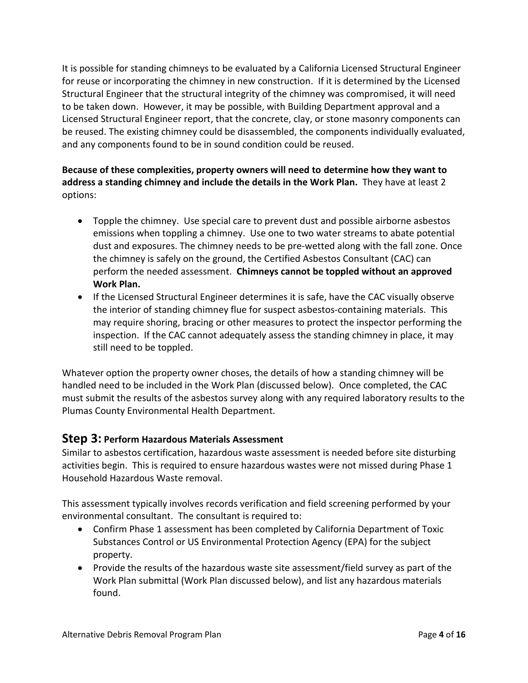It is possible for standing chimneys to be evaluated by a California Licensed Structural Engineer for reuse or incorporating the chimney in new construction. If it is determined by the Licensed Structural Engineer that the structural integrity of the chimney was compromised, it will need to be taken down. However, it may be possible, with Building Department approval and a Licensed Structural Engineer report, that the concrete, clay, or stone masonry components can be reused. The existing chimney could be disassembled, the components individually evaluated, and any components found to be in sound condition could be reused.

### **Because of these complexities, property owners will need to determine how they want to address a standing chimney and include the details in the Work Plan.** They have at least 2 options:

- Topple the chimney. Use special care to prevent dust and possible airborne asbestos emissions when toppling a chimney. Use one to two water streams to abate potential dust and exposures. The chimney needs to be pre-wetted along with the fall zone. Once the chimney is safely on the ground, the Certified Asbestos Consultant (CAC) can perform the needed assessment. **Chimneys cannot be toppled without an approved Work Plan.**
- If the Licensed Structural Engineer determines it is safe, have the CAC visually observe the interior of standing chimney flue for suspect asbestos-containing materials. This may require shoring, bracing or other measures to protect the inspector performing the inspection. If the CAC cannot adequately assess the standing chimney in place, it may still need to be toppled.

Whatever option the property owner choses, the details of how a standing chimney will be handled need to be included in the Work Plan (discussed below). Once completed, the CAC must submit the results of the asbestos survey along with any required laboratory results to the Plumas County Environmental Health Department.

## <span id="page-5-0"></span>**Step 3: Perform Hazardous Materials Assessment**

Similar to asbestos certification, hazardous waste assessment is needed before site disturbing activities begin. This is required to ensure hazardous wastes were not missed during Phase 1 Household Hazardous Waste removal.

This assessment typically involves records verification and field screening performed by your environmental consultant. The consultant is required to:

- Confirm Phase 1 assessment has been completed by California Department of Toxic Substances Control or US Environmental Protection Agency (EPA) for the subject property.
- Provide the results of the hazardous waste site assessment/field survey as part of the Work Plan submittal (Work Plan discussed below), and list any hazardous materials found.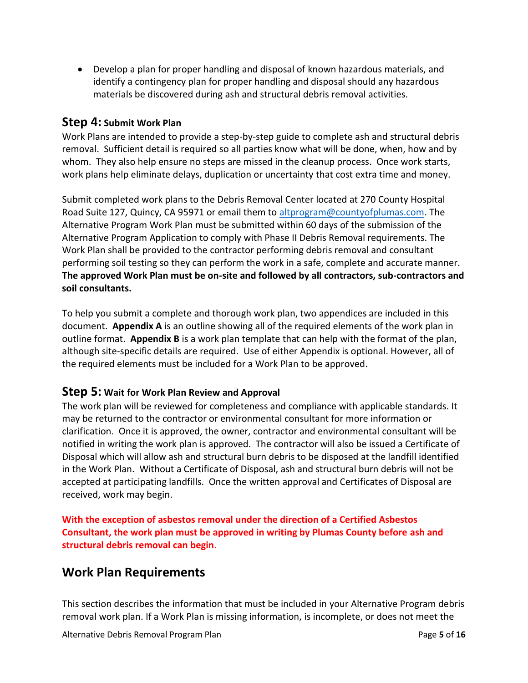Develop a plan for proper handling and disposal of known hazardous materials, and identify a contingency plan for proper handling and disposal should any hazardous materials be discovered during ash and structural debris removal activities.

### <span id="page-6-0"></span>**Step 4: Submit Work Plan**

Work Plans are intended to provide a step-by-step guide to complete ash and structural debris removal. Sufficient detail is required so all parties know what will be done, when, how and by whom. They also help ensure no steps are missed in the cleanup process. Once work starts, work plans help eliminate delays, duplication or uncertainty that cost extra time and money.

Submit completed work plans to the Debris Removal Center located at 270 County Hospital Road Suite 127, Quincy, CA 95971 or email them to [altprogram@countyofplumas.com.](mailto:altprogram@countyofplumas.com) The Alternative Program Work Plan must be submitted within 60 days of the submission of the Alternative Program Application to comply with Phase II Debris Removal requirements. The Work Plan shall be provided to the contractor performing debris removal and consultant performing soil testing so they can perform the work in a safe, complete and accurate manner. **The approved Work Plan must be on-site and followed by all contractors, sub-contractors and soil consultants.** 

To help you submit a complete and thorough work plan, two appendices are included in this document. **Appendix A** is an outline showing all of the required elements of the work plan in outline format. **Appendix B** is a work plan template that can help with the format of the plan, although site-specific details are required. Use of either Appendix is optional. However, all of the required elements must be included for a Work Plan to be approved.

#### <span id="page-6-1"></span>**Step 5: Wait for Work Plan Review and Approval**

The work plan will be reviewed for completeness and compliance with applicable standards. It may be returned to the contractor or environmental consultant for more information or clarification. Once it is approved, the owner, contractor and environmental consultant will be notified in writing the work plan is approved. The contractor will also be issued a Certificate of Disposal which will allow ash and structural burn debris to be disposed at the landfill identified in the Work Plan. Without a Certificate of Disposal, ash and structural burn debris will not be accepted at participating landfills. Once the written approval and Certificates of Disposal are received, work may begin.

**With the exception of asbestos removal under the direction of a Certified Asbestos Consultant, the work plan must be approved in writing by Plumas County before ash and structural debris removal can begin**.

## <span id="page-6-2"></span>**Work Plan Requirements**

This section describes the information that must be included in your Alternative Program debris removal work plan. If a Work Plan is missing information, is incomplete, or does not meet the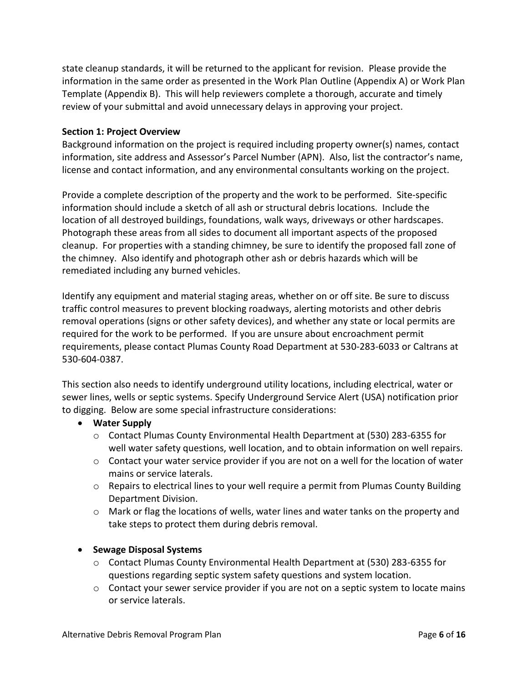state cleanup standards, it will be returned to the applicant for revision. Please provide the information in the same order as presented in the Work Plan Outline (Appendix A) or Work Plan Template (Appendix B). This will help reviewers complete a thorough, accurate and timely review of your submittal and avoid unnecessary delays in approving your project.

#### <span id="page-7-0"></span>**Section 1: Project Overview**

Background information on the project is required including property owner(s) names, contact information, site address and Assessor's Parcel Number (APN). Also, list the contractor's name, license and contact information, and any environmental consultants working on the project.

Provide a complete description of the property and the work to be performed. Site-specific information should include a sketch of all ash or structural debris locations. Include the location of all destroyed buildings, foundations, walk ways, driveways or other hardscapes. Photograph these areas from all sides to document all important aspects of the proposed cleanup. For properties with a standing chimney, be sure to identify the proposed fall zone of the chimney. Also identify and photograph other ash or debris hazards which will be remediated including any burned vehicles.

Identify any equipment and material staging areas, whether on or off site. Be sure to discuss traffic control measures to prevent blocking roadways, alerting motorists and other debris removal operations (signs or other safety devices), and whether any state or local permits are required for the work to be performed. If you are unsure about encroachment permit requirements, please contact Plumas County Road Department at 530-283-6033 or Caltrans at 530-604-0387.

This section also needs to identify underground utility locations, including electrical, water or sewer lines, wells or septic systems. Specify Underground Service Alert (USA) notification prior to digging. Below are some special infrastructure considerations:

#### **Water Supply**

- o Contact Plumas County Environmental Health Department at (530) 283-6355 for well water safety questions, well location, and to obtain information on well repairs.
- $\circ$  Contact your water service provider if you are not on a well for the location of water mains or service laterals.
- $\circ$  Repairs to electrical lines to your well require a permit from Plumas County Building Department Division.
- o Mark or flag the locations of wells, water lines and water tanks on the property and take steps to protect them during debris removal.

#### **•** Sewage Disposal Systems

- o Contact Plumas County Environmental Health Department at (530) 283-6355 for questions regarding septic system safety questions and system location.
- o Contact your sewer service provider if you are not on a septic system to locate mains or service laterals.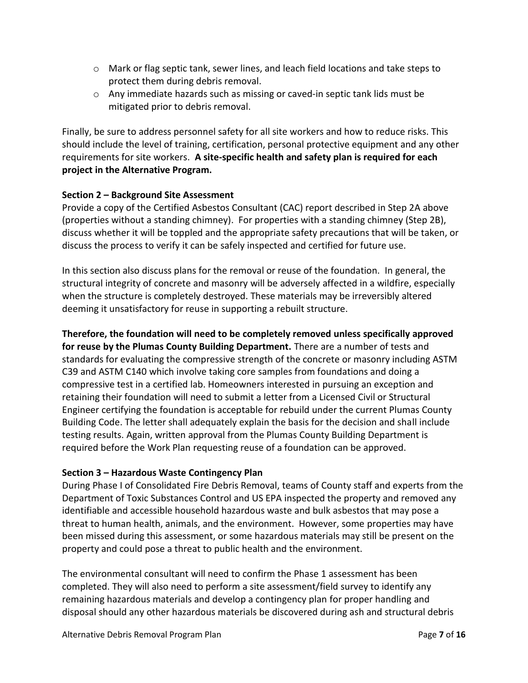- o Mark or flag septic tank, sewer lines, and leach field locations and take steps to protect them during debris removal.
- $\circ$  Any immediate hazards such as missing or caved-in septic tank lids must be mitigated prior to debris removal.

Finally, be sure to address personnel safety for all site workers and how to reduce risks. This should include the level of training, certification, personal protective equipment and any other requirements for site workers. **A site-specific health and safety plan is required for each project in the Alternative Program.**

#### <span id="page-8-0"></span>**Section 2 – Background Site Assessment**

Provide a copy of the Certified Asbestos Consultant (CAC) report described in Step 2A above (properties without a standing chimney). For properties with a standing chimney (Step 2B), discuss whether it will be toppled and the appropriate safety precautions that will be taken, or discuss the process to verify it can be safely inspected and certified for future use.

In this section also discuss plans for the removal or reuse of the foundation. In general, the structural integrity of concrete and masonry will be adversely affected in a wildfire, especially when the structure is completely destroyed. These materials may be irreversibly altered deeming it unsatisfactory for reuse in supporting a rebuilt structure.

#### **Therefore, the foundation will need to be completely removed unless specifically approved**

**for reuse by the Plumas County Building Department.** There are a number of tests and standards for evaluating the compressive strength of the concrete or masonry including ASTM C39 and ASTM C140 which involve taking core samples from foundations and doing a compressive test in a certified lab. Homeowners interested in pursuing an exception and retaining their foundation will need to submit a letter from a Licensed Civil or Structural Engineer certifying the foundation is acceptable for rebuild under the current Plumas County Building Code. The letter shall adequately explain the basis for the decision and shall include testing results. Again, written approval from the Plumas County Building Department is required before the Work Plan requesting reuse of a foundation can be approved.

#### <span id="page-8-1"></span>**Section 3 – Hazardous Waste Contingency Plan**

During Phase I of Consolidated Fire Debris Removal, teams of County staff and experts from the Department of Toxic Substances Control and US EPA inspected the property and removed any identifiable and accessible household hazardous waste and bulk asbestos that may pose a threat to human health, animals, and the environment. However, some properties may have been missed during this assessment, or some hazardous materials may still be present on the property and could pose a threat to public health and the environment.

The environmental consultant will need to confirm the Phase 1 assessment has been completed. They will also need to perform a site assessment/field survey to identify any remaining hazardous materials and develop a contingency plan for proper handling and disposal should any other hazardous materials be discovered during ash and structural debris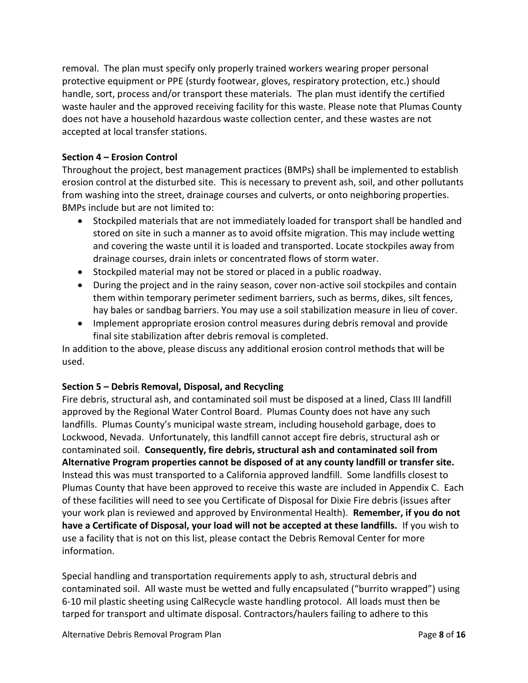removal. The plan must specify only properly trained workers wearing proper personal protective equipment or PPE (sturdy footwear, gloves, respiratory protection, etc.) should handle, sort, process and/or transport these materials. The plan must identify the certified waste hauler and the approved receiving facility for this waste. Please note that Plumas County does not have a household hazardous waste collection center, and these wastes are not accepted at local transfer stations.

#### <span id="page-9-0"></span>**Section 4 – Erosion Control**

Throughout the project, best management practices (BMPs) shall be implemented to establish erosion control at the disturbed site. This is necessary to prevent ash, soil, and other pollutants from washing into the street, drainage courses and culverts, or onto neighboring properties. BMPs include but are not limited to:

- Stockpiled materials that are not immediately loaded for transport shall be handled and stored on site in such a manner as to avoid offsite migration. This may include wetting and covering the waste until it is loaded and transported. Locate stockpiles away from drainage courses, drain inlets or concentrated flows of storm water.
- Stockpiled material may not be stored or placed in a public roadway.
- During the project and in the rainy season, cover non-active soil stockpiles and contain them within temporary perimeter sediment barriers, such as berms, dikes, silt fences, hay bales or sandbag barriers. You may use a soil stabilization measure in lieu of cover.
- Implement appropriate erosion control measures during debris removal and provide final site stabilization after debris removal is completed.

In addition to the above, please discuss any additional erosion control methods that will be used.

#### <span id="page-9-1"></span>**Section 5 – Debris Removal, Disposal, and Recycling**

Fire debris, structural ash, and contaminated soil must be disposed at a lined, Class III landfill approved by the Regional Water Control Board. Plumas County does not have any such landfills. Plumas County's municipal waste stream, including household garbage, does to Lockwood, Nevada. Unfortunately, this landfill cannot accept fire debris, structural ash or contaminated soil. **Consequently, fire debris, structural ash and contaminated soil from Alternative Program properties cannot be disposed of at any county landfill or transfer site.** Instead this was must transported to a California approved landfill. Some landfills closest to Plumas County that have been approved to receive this waste are included in Appendix C. Each of these facilities will need to see you Certificate of Disposal for Dixie Fire debris (issues after your work plan is reviewed and approved by Environmental Health). **Remember, if you do not have a Certificate of Disposal, your load will not be accepted at these landfills.** If you wish to use a facility that is not on this list, please contact the Debris Removal Center for more information.

Special handling and transportation requirements apply to ash, structural debris and contaminated soil. All waste must be wetted and fully encapsulated ("burrito wrapped") using 6-10 mil plastic sheeting using CalRecycle waste handling protocol. All loads must then be tarped for transport and ultimate disposal. Contractors/haulers failing to adhere to this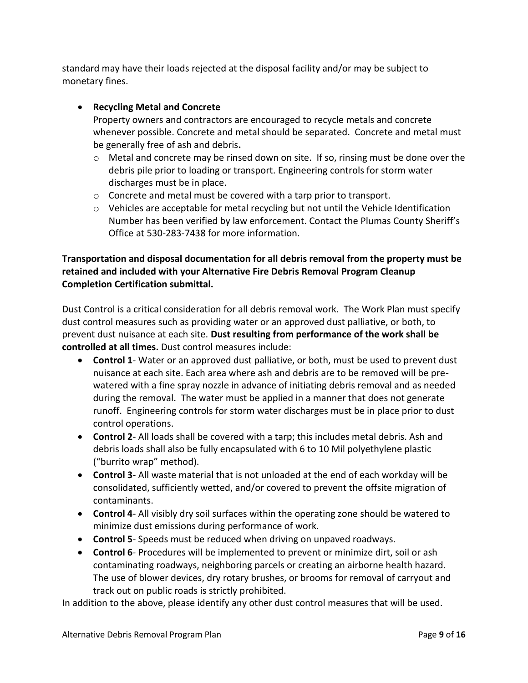standard may have their loads rejected at the disposal facility and/or may be subject to monetary fines.

#### **Recycling Metal and Concrete**

Property owners and contractors are encouraged to recycle metals and concrete whenever possible. Concrete and metal should be separated. Concrete and metal must be generally free of ash and debris**.**

- $\circ$  Metal and concrete may be rinsed down on site. If so, rinsing must be done over the debris pile prior to loading or transport. Engineering controls for storm water discharges must be in place.
- o Concrete and metal must be covered with a tarp prior to transport.
- o Vehicles are acceptable for metal recycling but not until the Vehicle Identification Number has been verified by law enforcement. Contact the Plumas County Sheriff's Office at 530-283-7438 for more information.

#### **Transportation and disposal documentation for all debris removal from the property must be retained and included with your Alternative Fire Debris Removal Program Cleanup Completion Certification submittal.**

Dust Control is a critical consideration for all debris removal work. The Work Plan must specify dust control measures such as providing water or an approved dust palliative, or both, to prevent dust nuisance at each site. **Dust resulting from performance of the work shall be controlled at all times.** Dust control measures include:

- **Control 1** Water or an approved dust palliative, or both, must be used to prevent dust nuisance at each site. Each area where ash and debris are to be removed will be prewatered with a fine spray nozzle in advance of initiating debris removal and as needed during the removal. The water must be applied in a manner that does not generate runoff. Engineering controls for storm water discharges must be in place prior to dust control operations.
- **Control 2** All loads shall be covered with a tarp; this includes metal debris. Ash and debris loads shall also be fully encapsulated with 6 to 10 Mil polyethylene plastic ("burrito wrap" method).
- **Control 3** All waste material that is not unloaded at the end of each workday will be consolidated, sufficiently wetted, and/or covered to prevent the offsite migration of contaminants.
- **Control 4** All visibly dry soil surfaces within the operating zone should be watered to minimize dust emissions during performance of work.
- **Control 5** Speeds must be reduced when driving on unpaved roadways.
- **Control 6** Procedures will be implemented to prevent or minimize dirt, soil or ash contaminating roadways, neighboring parcels or creating an airborne health hazard. The use of blower devices, dry rotary brushes, or brooms for removal of carryout and track out on public roads is strictly prohibited.

In addition to the above, please identify any other dust control measures that will be used.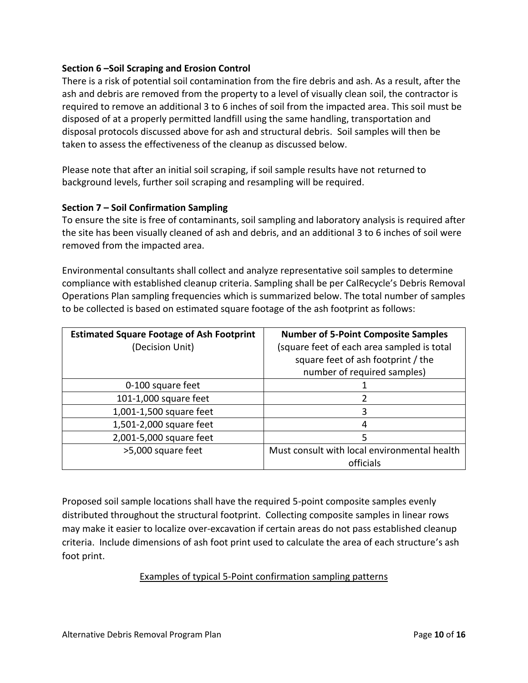#### <span id="page-11-0"></span>**Section 6 –Soil Scraping and Erosion Control**

There is a risk of potential soil contamination from the fire debris and ash. As a result, after the ash and debris are removed from the property to a level of visually clean soil, the contractor is required to remove an additional 3 to 6 inches of soil from the impacted area. This soil must be disposed of at a properly permitted landfill using the same handling, transportation and disposal protocols discussed above for ash and structural debris. Soil samples will then be taken to assess the effectiveness of the cleanup as discussed below.

Please note that after an initial soil scraping, if soil sample results have not returned to background levels, further soil scraping and resampling will be required.

#### <span id="page-11-1"></span>**Section 7 – Soil Confirmation Sampling**

To ensure the site is free of contaminants, soil sampling and laboratory analysis is required after the site has been visually cleaned of ash and debris, and an additional 3 to 6 inches of soil were removed from the impacted area.

Environmental consultants shall collect and analyze representative soil samples to determine compliance with established cleanup criteria. Sampling shall be per CalRecycle's Debris Removal Operations Plan sampling frequencies which is summarized below. The total number of samples to be collected is based on estimated square footage of the ash footprint as follows:

| <b>Estimated Square Footage of Ash Footprint</b> | <b>Number of 5-Point Composite Samples</b>   |
|--------------------------------------------------|----------------------------------------------|
| (Decision Unit)                                  | (square feet of each area sampled is total   |
|                                                  | square feet of ash footprint / the           |
|                                                  | number of required samples)                  |
| 0-100 square feet                                |                                              |
| 101-1,000 square feet                            | 2                                            |
| 1,001-1,500 square feet                          | 3                                            |
| 1,501-2,000 square feet                          | 4                                            |
| 2,001-5,000 square feet                          | 5                                            |
| >5,000 square feet                               | Must consult with local environmental health |
|                                                  | officials                                    |

Proposed soil sample locations shall have the required 5-point composite samples evenly distributed throughout the structural footprint. Collecting composite samples in linear rows may make it easier to localize over-excavation if certain areas do not pass established cleanup criteria. Include dimensions of ash foot print used to calculate the area of each structure's ash foot print.

#### Examples of typical 5-Point confirmation sampling patterns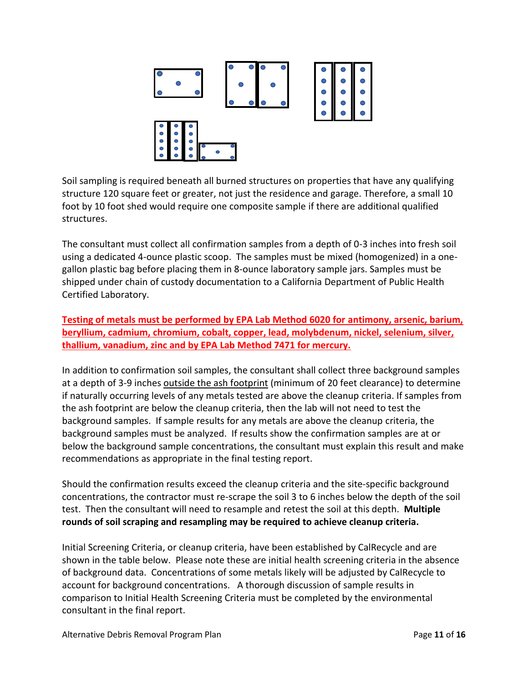

Soil sampling is required beneath all burned structures on properties that have any qualifying structure 120 square feet or greater, not just the residence and garage. Therefore, a small 10 foot by 10 foot shed would require one composite sample if there are additional qualified structures.

The consultant must collect all confirmation samples from a depth of 0-3 inches into fresh soil using a dedicated 4-ounce plastic scoop. The samples must be mixed (homogenized) in a onegallon plastic bag before placing them in 8-ounce laboratory sample jars. Samples must be shipped under chain of custody documentation to a California Department of Public Health Certified Laboratory.

**Testing of metals must be performed by EPA Lab Method 6020 for antimony, arsenic, barium, beryllium, cadmium, chromium, cobalt, copper, lead, molybdenum, nickel, selenium, silver, thallium, vanadium, zinc and by EPA Lab Method 7471 for mercury.**

In addition to confirmation soil samples, the consultant shall collect three background samples at a depth of 3-9 inches outside the ash footprint (minimum of 20 feet clearance) to determine if naturally occurring levels of any metals tested are above the cleanup criteria. If samples from the ash footprint are below the cleanup criteria, then the lab will not need to test the background samples. If sample results for any metals are above the cleanup criteria, the background samples must be analyzed. If results show the confirmation samples are at or below the background sample concentrations, the consultant must explain this result and make recommendations as appropriate in the final testing report.

Should the confirmation results exceed the cleanup criteria and the site-specific background concentrations, the contractor must re-scrape the soil 3 to 6 inches below the depth of the soil test. Then the consultant will need to resample and retest the soil at this depth. **Multiple rounds of soil scraping and resampling may be required to achieve cleanup criteria.**

Initial Screening Criteria, or cleanup criteria, have been established by CalRecycle and are shown in the table below. Please note these are initial health screening criteria in the absence of background data. Concentrations of some metals likely will be adjusted by CalRecycle to account for background concentrations. A thorough discussion of sample results in comparison to Initial Health Screening Criteria must be completed by the environmental consultant in the final report.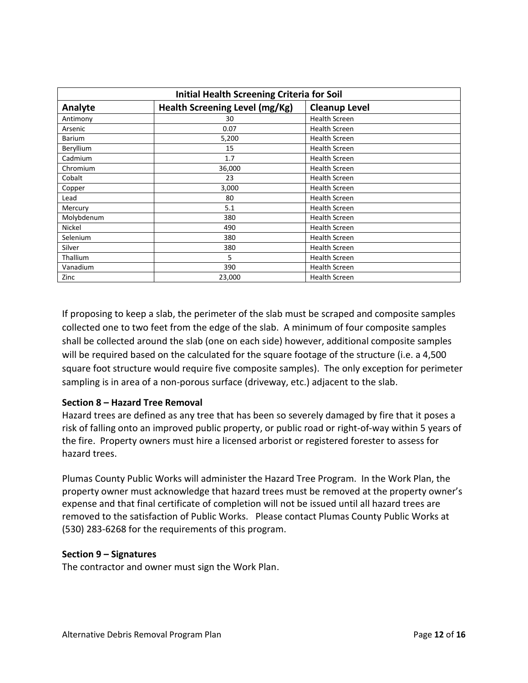| <b>Initial Health Screening Criteria for Soil</b> |                                |                      |
|---------------------------------------------------|--------------------------------|----------------------|
| Analyte                                           | Health Screening Level (mg/Kg) | <b>Cleanup Level</b> |
| Antimony                                          | 30                             | <b>Health Screen</b> |
| Arsenic                                           | 0.07                           | <b>Health Screen</b> |
| <b>Barium</b>                                     | 5,200                          | <b>Health Screen</b> |
| Beryllium                                         | 15                             | <b>Health Screen</b> |
| Cadmium                                           | 1.7                            | <b>Health Screen</b> |
| Chromium                                          | 36,000                         | <b>Health Screen</b> |
| Cobalt                                            | 23                             | <b>Health Screen</b> |
| Copper                                            | 3,000                          | <b>Health Screen</b> |
| Lead                                              | 80                             | <b>Health Screen</b> |
| Mercury                                           | 5.1                            | <b>Health Screen</b> |
| Molybdenum                                        | 380                            | <b>Health Screen</b> |
| Nickel                                            | 490                            | <b>Health Screen</b> |
| Selenium                                          | 380                            | <b>Health Screen</b> |
| Silver                                            | 380                            | <b>Health Screen</b> |
| <b>Thallium</b>                                   | 5                              | <b>Health Screen</b> |
| Vanadium                                          | 390                            | <b>Health Screen</b> |
| Zinc                                              | 23,000                         | <b>Health Screen</b> |

If proposing to keep a slab, the perimeter of the slab must be scraped and composite samples collected one to two feet from the edge of the slab. A minimum of four composite samples shall be collected around the slab (one on each side) however, additional composite samples will be required based on the calculated for the square footage of the structure (i.e. a 4,500 square foot structure would require five composite samples). The only exception for perimeter sampling is in area of a non-porous surface (driveway, etc.) adjacent to the slab.

#### <span id="page-13-0"></span>**Section 8 – Hazard Tree Removal**

Hazard trees are defined as any tree that has been so severely damaged by fire that it poses a risk of falling onto an improved public property, or public road or right-of-way within 5 years of the fire. Property owners must hire a licensed arborist or registered forester to assess for hazard trees.

Plumas County Public Works will administer the Hazard Tree Program. In the Work Plan, the property owner must acknowledge that hazard trees must be removed at the property owner's expense and that final certificate of completion will not be issued until all hazard trees are removed to the satisfaction of Public Works. Please contact Plumas County Public Works at (530) 283-6268 for the requirements of this program.

#### <span id="page-13-1"></span>**Section 9 – Signatures**

The contractor and owner must sign the Work Plan.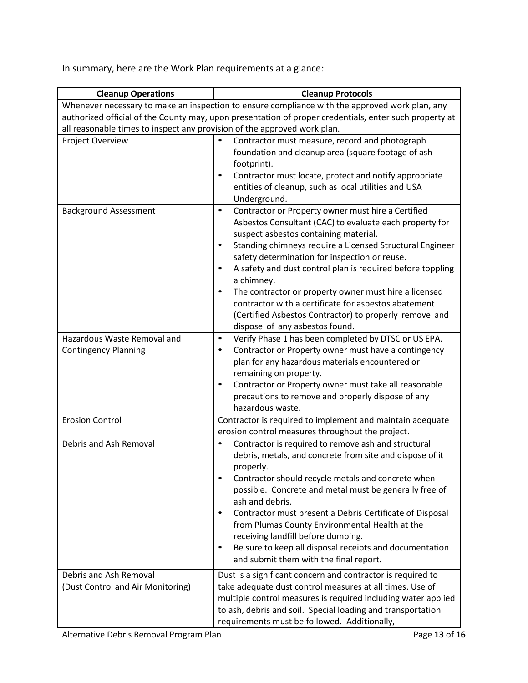In summary, here are the Work Plan requirements at a glance:

| <b>Cleanup Operations</b>                                                | <b>Cleanup Protocols</b>                                                                                      |  |
|--------------------------------------------------------------------------|---------------------------------------------------------------------------------------------------------------|--|
|                                                                          | Whenever necessary to make an inspection to ensure compliance with the approved work plan, any                |  |
|                                                                          | authorized official of the County may, upon presentation of proper credentials, enter such property at        |  |
| all reasonable times to inspect any provision of the approved work plan. |                                                                                                               |  |
| Project Overview                                                         | Contractor must measure, record and photograph<br>$\bullet$                                                   |  |
|                                                                          | foundation and cleanup area (square footage of ash                                                            |  |
|                                                                          | footprint).                                                                                                   |  |
|                                                                          | Contractor must locate, protect and notify appropriate<br>$\bullet$                                           |  |
|                                                                          | entities of cleanup, such as local utilities and USA                                                          |  |
|                                                                          | Underground.                                                                                                  |  |
| <b>Background Assessment</b>                                             | Contractor or Property owner must hire a Certified<br>$\bullet$                                               |  |
|                                                                          | Asbestos Consultant (CAC) to evaluate each property for                                                       |  |
|                                                                          | suspect asbestos containing material.                                                                         |  |
|                                                                          | Standing chimneys require a Licensed Structural Engineer<br>$\bullet$                                         |  |
|                                                                          | safety determination for inspection or reuse.                                                                 |  |
|                                                                          | A safety and dust control plan is required before toppling<br>$\bullet$                                       |  |
|                                                                          | a chimney.                                                                                                    |  |
|                                                                          | The contractor or property owner must hire a licensed<br>$\bullet$                                            |  |
|                                                                          | contractor with a certificate for asbestos abatement                                                          |  |
|                                                                          | (Certified Asbestos Contractor) to properly remove and                                                        |  |
|                                                                          | dispose of any asbestos found.                                                                                |  |
| Hazardous Waste Removal and                                              | Verify Phase 1 has been completed by DTSC or US EPA.<br>$\bullet$                                             |  |
| <b>Contingency Planning</b>                                              | Contractor or Property owner must have a contingency<br>٠                                                     |  |
|                                                                          | plan for any hazardous materials encountered or                                                               |  |
|                                                                          | remaining on property.<br>$\bullet$                                                                           |  |
|                                                                          | Contractor or Property owner must take all reasonable<br>precautions to remove and properly dispose of any    |  |
|                                                                          | hazardous waste.                                                                                              |  |
| <b>Erosion Control</b>                                                   |                                                                                                               |  |
|                                                                          | Contractor is required to implement and maintain adequate<br>erosion control measures throughout the project. |  |
| Debris and Ash Removal                                                   | Contractor is required to remove ash and structural<br>$\bullet$                                              |  |
|                                                                          | debris, metals, and concrete from site and dispose of it                                                      |  |
|                                                                          | properly.                                                                                                     |  |
|                                                                          | Contractor should recycle metals and concrete when                                                            |  |
|                                                                          | possible. Concrete and metal must be generally free of                                                        |  |
|                                                                          | ash and debris.                                                                                               |  |
|                                                                          | Contractor must present a Debris Certificate of Disposal<br>$\bullet$                                         |  |
|                                                                          | from Plumas County Environmental Health at the                                                                |  |
|                                                                          | receiving landfill before dumping.                                                                            |  |
|                                                                          | Be sure to keep all disposal receipts and documentation<br>$\bullet$                                          |  |
|                                                                          | and submit them with the final report.                                                                        |  |
| Debris and Ash Removal                                                   | Dust is a significant concern and contractor is required to                                                   |  |
| (Dust Control and Air Monitoring)                                        | take adequate dust control measures at all times. Use of                                                      |  |
|                                                                          | multiple control measures is required including water applied                                                 |  |
|                                                                          | to ash, debris and soil. Special loading and transportation                                                   |  |
|                                                                          | requirements must be followed. Additionally,                                                                  |  |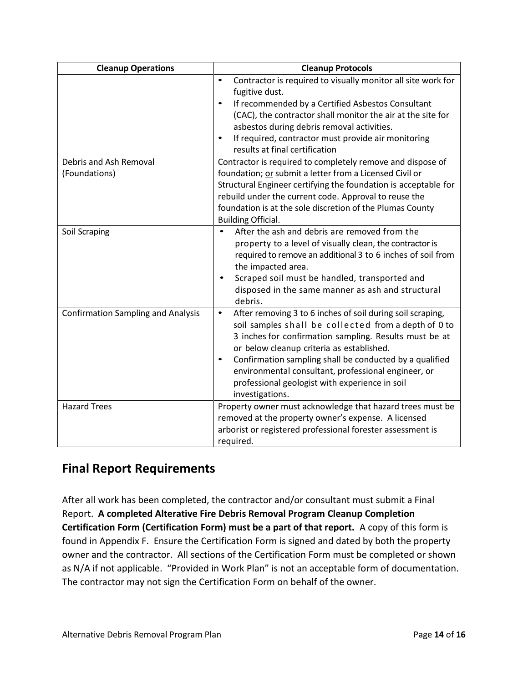| <b>Cleanup Operations</b>                 | <b>Cleanup Protocols</b>                                                                                                                                                                                                                                                                                                                                                                                                                   |  |
|-------------------------------------------|--------------------------------------------------------------------------------------------------------------------------------------------------------------------------------------------------------------------------------------------------------------------------------------------------------------------------------------------------------------------------------------------------------------------------------------------|--|
|                                           | Contractor is required to visually monitor all site work for<br>$\bullet$<br>fugitive dust.<br>If recommended by a Certified Asbestos Consultant<br>$\bullet$<br>(CAC), the contractor shall monitor the air at the site for<br>asbestos during debris removal activities.<br>If required, contractor must provide air monitoring<br>$\bullet$<br>results at final certification                                                           |  |
| Debris and Ash Removal                    | Contractor is required to completely remove and dispose of                                                                                                                                                                                                                                                                                                                                                                                 |  |
| (Foundations)                             | foundation; or submit a letter from a Licensed Civil or<br>Structural Engineer certifying the foundation is acceptable for<br>rebuild under the current code. Approval to reuse the<br>foundation is at the sole discretion of the Plumas County<br><b>Building Official.</b>                                                                                                                                                              |  |
| Soil Scraping                             | After the ash and debris are removed from the<br>property to a level of visually clean, the contractor is<br>required to remove an additional 3 to 6 inches of soil from<br>the impacted area.<br>Scraped soil must be handled, transported and<br>disposed in the same manner as ash and structural<br>debris.                                                                                                                            |  |
| <b>Confirmation Sampling and Analysis</b> | After removing 3 to 6 inches of soil during soil scraping,<br>$\bullet$<br>soil samples shall be collected from a depth of 0 to<br>3 inches for confirmation sampling. Results must be at<br>or below cleanup criteria as established.<br>Confirmation sampling shall be conducted by a qualified<br>$\bullet$<br>environmental consultant, professional engineer, or<br>professional geologist with experience in soil<br>investigations. |  |
| <b>Hazard Trees</b>                       | Property owner must acknowledge that hazard trees must be<br>removed at the property owner's expense. A licensed<br>arborist or registered professional forester assessment is<br>required.                                                                                                                                                                                                                                                |  |

## <span id="page-15-0"></span>**Final Report Requirements**

After all work has been completed, the contractor and/or consultant must submit a Final Report. **A completed Alterative Fire Debris Removal Program Cleanup Completion Certification Form (Certification Form) must be a part of that report.** A copy of this form is found in Appendix F. Ensure the Certification Form is signed and dated by both the property owner and the contractor. All sections of the Certification Form must be completed or shown as N/A if not applicable. "Provided in Work Plan" is not an acceptable form of documentation. The contractor may not sign the Certification Form on behalf of the owner.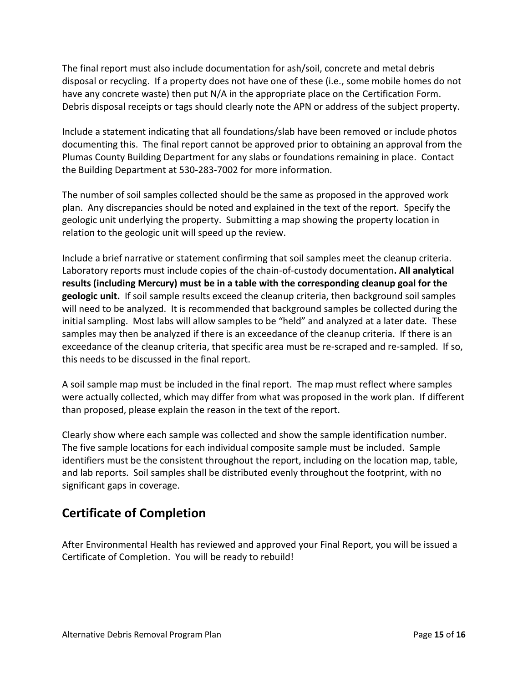The final report must also include documentation for ash/soil, concrete and metal debris disposal or recycling. If a property does not have one of these (i.e., some mobile homes do not have any concrete waste) then put N/A in the appropriate place on the Certification Form. Debris disposal receipts or tags should clearly note the APN or address of the subject property.

Include a statement indicating that all foundations/slab have been removed or include photos documenting this. The final report cannot be approved prior to obtaining an approval from the Plumas County Building Department for any slabs or foundations remaining in place. Contact the Building Department at 530-283-7002 for more information.

The number of soil samples collected should be the same as proposed in the approved work plan. Any discrepancies should be noted and explained in the text of the report. Specify the geologic unit underlying the property. Submitting a map showing the property location in relation to the geologic unit will speed up the review.

Include a brief narrative or statement confirming that soil samples meet the cleanup criteria. Laboratory reports must include copies of the chain-of-custody documentation**. All analytical results (including Mercury) must be in a table with the corresponding cleanup goal for the geologic unit.** If soil sample results exceed the cleanup criteria, then background soil samples will need to be analyzed. It is recommended that background samples be collected during the initial sampling. Most labs will allow samples to be "held" and analyzed at a later date. These samples may then be analyzed if there is an exceedance of the cleanup criteria. If there is an exceedance of the cleanup criteria, that specific area must be re-scraped and re-sampled. If so, this needs to be discussed in the final report.

A soil sample map must be included in the final report. The map must reflect where samples were actually collected, which may differ from what was proposed in the work plan. If different than proposed, please explain the reason in the text of the report.

Clearly show where each sample was collected and show the sample identification number. The five sample locations for each individual composite sample must be included. Sample identifiers must be the consistent throughout the report, including on the location map, table, and lab reports. Soil samples shall be distributed evenly throughout the footprint, with no significant gaps in coverage.

## <span id="page-16-0"></span>**Certificate of Completion**

<span id="page-16-1"></span>After Environmental Health has reviewed and approved your Final Report, you will be issued a Certificate of Completion. You will be ready to rebuild!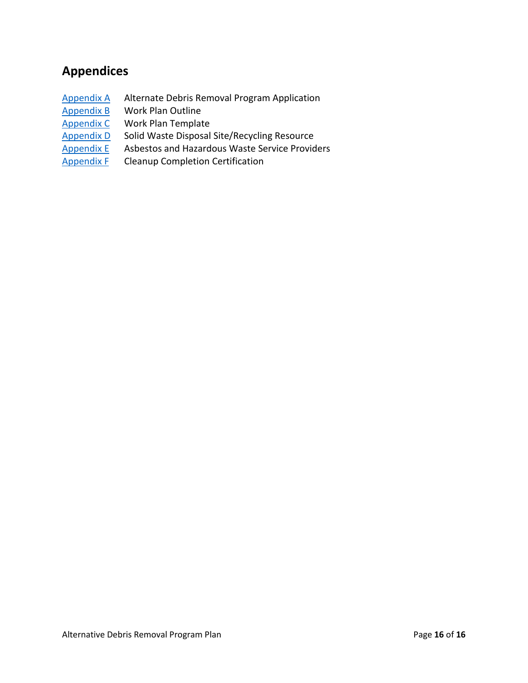# **Appendices**

- [Appendix A](#page-18-0) Alternate Debris Removal Program Application
- [Appendix B](#page-21-0) Work Plan Outline
- [Appendix C](#page-25-0) Work Plan Template
- [Appendix D](#page-35-0) Solid Waste Disposal Site/Recycling Resource<br>
Appendix E Asbestos and Hazardous Waste Service Provid
- Asbestos and Hazardous Waste Service Providers
- [Appendix F](#page-38-0) Cleanup Completion Certification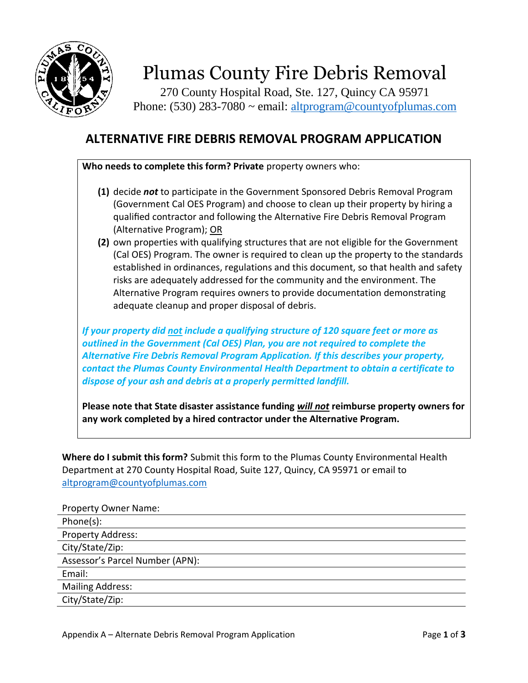

270 County Hospital Road, Ste. 127, Quincy CA 95971 Phone: (530) 283-7080  $\sim$  email: [altprogram@countyofplumas.com](mailto:altprogram@countyofplumas.com)

# <span id="page-18-0"></span>**ALTERNATIVE FIRE DEBRIS REMOVAL PROGRAM APPLICATION**

**Who needs to complete this form? Private** property owners who:

- **(1)** decide *not* to participate in the Government Sponsored Debris Removal Program (Government Cal OES Program) and choose to clean up their property by hiring a qualified contractor and following the Alternative Fire Debris Removal Program (Alternative Program); OR
- **(2)** own properties with qualifying structures that are not eligible for the Government (Cal OES) Program. The owner is required to clean up the property to the standards established in ordinances, regulations and this document, so that health and safety risks are adequately addressed for the community and the environment. The Alternative Program requires owners to provide documentation demonstrating adequate cleanup and proper disposal of debris.

*If your property did not include a qualifying structure of 120 square feet or more as outlined in the Government (Cal OES) Plan, you are not required to complete the Alternative Fire Debris Removal Program Application. If this describes your property, contact the Plumas County Environmental Health Department to obtain a certificate to dispose of your ash and debris at a properly permitted landfill.*

**Please note that State disaster assistance funding** *will not* **reimburse property owners for any work completed by a hired contractor under the Alternative Program.**

**Where do I submit this form?** Submit this form to the Plumas County Environmental Health Department at 270 County Hospital Road, Suite 127, Quincy, CA 95971 or email to [altprogram@countyofplumas.com](mailto:altprogram@countyofplumas.com)

| <b>Property Owner Name:</b>     |
|---------------------------------|
| Phone(s):                       |
| Property Address:               |
| City/State/Zip:                 |
| Assessor's Parcel Number (APN): |
| Email:                          |
| <b>Mailing Address:</b>         |
| City/State/Zip:                 |
|                                 |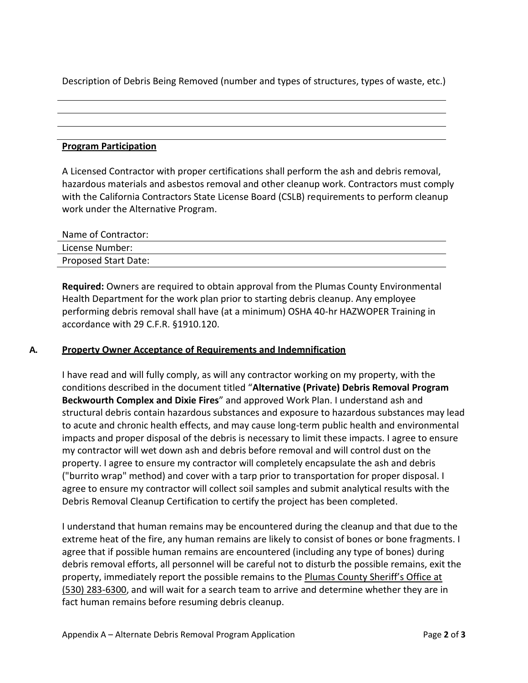Description of Debris Being Removed (number and types of structures, types of waste, etc.)

#### **Program Participation**

A Licensed Contractor with proper certifications shall perform the ash and debris removal, hazardous materials and asbestos removal and other cleanup work. Contractors must comply with the California Contractors State License Board (CSLB) requirements to perform cleanup work under the Alternative Program.

| Name of Contractor:  |  |
|----------------------|--|
| License Number:      |  |
| Proposed Start Date: |  |

**Required:** Owners are required to obtain approval from the Plumas County Environmental Health Department for the work plan prior to starting debris cleanup. Any employee performing debris removal shall have (at a minimum) OSHA 40-hr HAZWOPER Training in accordance with 29 C.F.R. §1910.120.

#### **A. Property Owner Acceptance of Requirements and Indemnification**

I have read and will fully comply, as will any contractor working on my property, with the conditions described in the document titled "**Alternative (Private) Debris Removal Program Beckwourth Complex and Dixie Fires**" and approved Work Plan. I understand ash and structural debris contain hazardous substances and exposure to hazardous substances may lead to acute and chronic health effects, and may cause long-term public health and environmental impacts and proper disposal of the debris is necessary to limit these impacts. I agree to ensure my contractor will wet down ash and debris before removal and will control dust on the property. I agree to ensure my contractor will completely encapsulate the ash and debris ("burrito wrap" method) and cover with a tarp prior to transportation for proper disposal. I agree to ensure my contractor will collect soil samples and submit analytical results with the Debris Removal Cleanup Certification to certify the project has been completed.

I understand that human remains may be encountered during the cleanup and that due to the extreme heat of the fire, any human remains are likely to consist of bones or bone fragments. I agree that if possible human remains are encountered (including any type of bones) during debris removal efforts, all personnel will be careful not to disturb the possible remains, exit the property, immediately report the possible remains to the Plumas County Sheriff's Office at (530) 283-6300, and will wait for a search team to arrive and determine whether they are in fact human remains before resuming debris cleanup.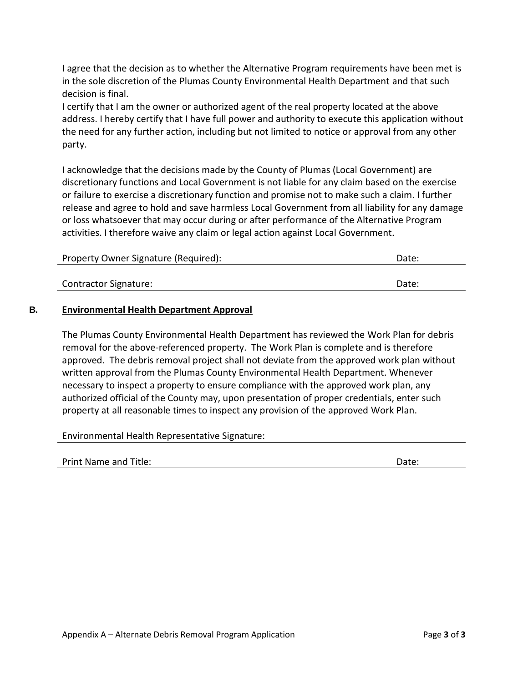I agree that the decision as to whether the Alternative Program requirements have been met is in the sole discretion of the Plumas County Environmental Health Department and that such decision is final.

I certify that I am the owner or authorized agent of the real property located at the above address. I hereby certify that I have full power and authority to execute this application without the need for any further action, including but not limited to notice or approval from any other party.

I acknowledge that the decisions made by the County of Plumas (Local Government) are discretionary functions and Local Government is not liable for any claim based on the exercise or failure to exercise a discretionary function and promise not to make such a claim. I further release and agree to hold and save harmless Local Government from all liability for any damage or loss whatsoever that may occur during or after performance of the Alternative Program activities. I therefore waive any claim or legal action against Local Government.

| Property Owner Signature (Required): | Date: |
|--------------------------------------|-------|
|                                      |       |
| <b>Contractor Signature:</b>         | Date: |

#### **B. Environmental Health Department Approval**

The Plumas County Environmental Health Department has reviewed the Work Plan for debris removal for the above-referenced property. The Work Plan is complete and is therefore approved. The debris removal project shall not deviate from the approved work plan without written approval from the Plumas County Environmental Health Department. Whenever necessary to inspect a property to ensure compliance with the approved work plan, any authorized official of the County may, upon presentation of proper credentials, enter such property at all reasonable times to inspect any provision of the approved Work Plan.

Environmental Health Representative Signature: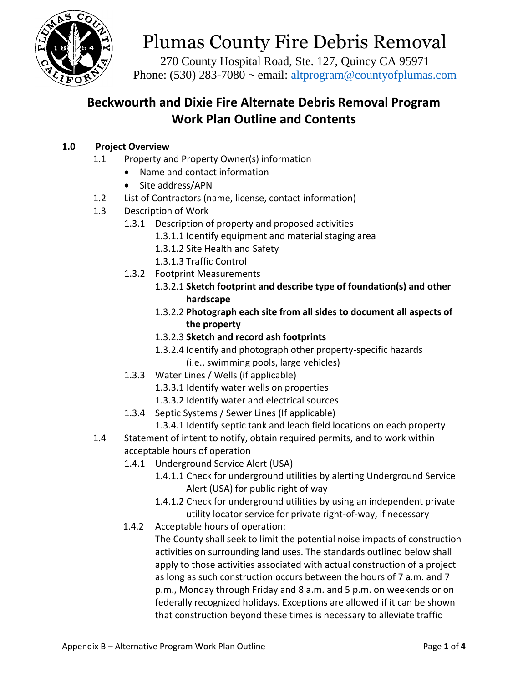

270 County Hospital Road, Ste. 127, Quincy CA 95971 Phone: (530) 283-7080  $\sim$  email: [altprogram@countyofplumas.com](mailto:altprogram@countyofplumas.com)

# <span id="page-21-0"></span>**Beckwourth and Dixie Fire Alternate Debris Removal Program Work Plan Outline and Contents**

### **1.0 Project Overview**

- 1.1 Property and Property Owner(s) information
	- Name and contact information
	- Site address/APN
- 1.2 List of Contractors (name, license, contact information)
- 1.3 Description of Work
	- 1.3.1 Description of property and proposed activities
		- 1.3.1.1 Identify equipment and material staging area
		- 1.3.1.2 Site Health and Safety
		- 1.3.1.3 Traffic Control
		- 1.3.2 Footprint Measurements
			- 1.3.2.1 **Sketch footprint and describe type of foundation(s) and other hardscape**
			- 1.3.2.2 **Photograph each site from all sides to document all aspects of the property**
			- 1.3.2.3 **Sketch and record ash footprints**
			- 1.3.2.4 Identify and photograph other property-specific hazards (i.e., swimming pools, large vehicles)
		- 1.3.3 Water Lines / Wells (if applicable)
			- 1.3.3.1 Identify water wells on properties
			- 1.3.3.2 Identify water and electrical sources
		- 1.3.4 Septic Systems / Sewer Lines (If applicable)
			- 1.3.4.1 Identify septic tank and leach field locations on each property
- 1.4 Statement of intent to notify, obtain required permits, and to work within acceptable hours of operation
	- 1.4.1 Underground Service Alert (USA)
		- 1.4.1.1 Check for underground utilities by alerting Underground Service Alert (USA) for public right of way
		- 1.4.1.2 Check for underground utilities by using an independent private utility locator service for private right-of-way, if necessary
	- 1.4.2 Acceptable hours of operation:

The County shall seek to limit the potential noise impacts of construction activities on surrounding land uses. The standards outlined below shall apply to those activities associated with actual construction of a project as long as such construction occurs between the hours of 7 a.m. and 7 p.m., Monday through Friday and 8 a.m. and 5 p.m. on weekends or on federally recognized holidays. Exceptions are allowed if it can be shown that construction beyond these times is necessary to alleviate traffic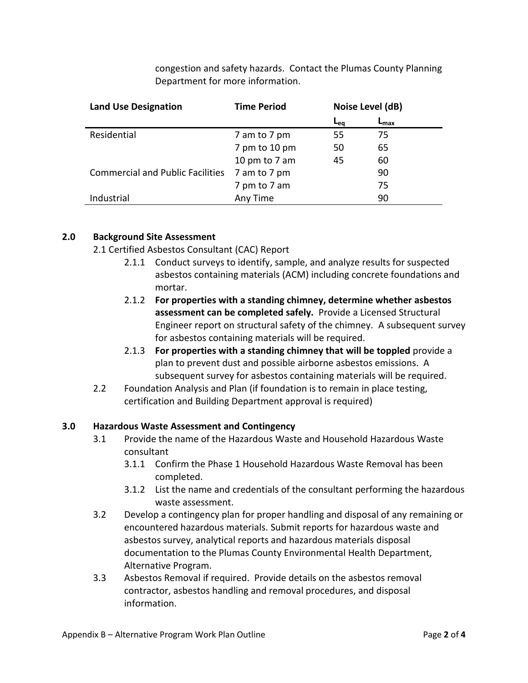congestion and safety hazards. Contact the Plumas County Planning Department for more information.

| <b>Land Use Designation</b>             | <b>Time Period</b> | Noise Level (dB) |                  |  |
|-----------------------------------------|--------------------|------------------|------------------|--|
|                                         |                    | <b>L</b> eg      | ⊾ <sub>max</sub> |  |
| Residential                             | 7 am to 7 pm       | 55               | 75               |  |
|                                         | 7 pm to 10 pm      | 50               | 65               |  |
|                                         | 10 pm to 7 am      | 45               | 60               |  |
| <b>Commercial and Public Facilities</b> | 7 am to 7 pm       |                  | 90               |  |
|                                         | 7 pm to 7 am       |                  | 75               |  |
| Industrial                              | Any Time           |                  | 90               |  |

#### **2.0 Background Site Assessment**

- 2.1 Certified Asbestos Consultant (CAC) Report
	- 2.1.1 Conduct surveys to identify, sample, and analyze results for suspected asbestos containing materials (ACM) including concrete foundations and mortar.
	- 2.1.2 **For properties with a standing chimney, determine whether asbestos assessment can be completed safely.** Provide a Licensed Structural Engineer report on structural safety of the chimney. A subsequent survey for asbestos containing materials will be required.
	- 2.1.3 **For properties with a standing chimney that will be toppled** provide a plan to prevent dust and possible airborne asbestos emissions. A subsequent survey for asbestos containing materials will be required.
- 2.2 Foundation Analysis and Plan (if foundation is to remain in place testing, certification and Building Department approval is required)

#### **3.0 Hazardous Waste Assessment and Contingency**

- 3.1 Provide the name of the Hazardous Waste and Household Hazardous Waste consultant
	- 3.1.1 Confirm the Phase 1 Household Hazardous Waste Removal has been completed.
	- 3.1.2 List the name and credentials of the consultant performing the hazardous waste assessment.
- 3.2 Develop a contingency plan for proper handling and disposal of any remaining or encountered hazardous materials. Submit reports for hazardous waste and asbestos survey, analytical reports and hazardous materials disposal documentation to the Plumas County Environmental Health Department, Alternative Program.
- 3.3 Asbestos Removal if required. Provide details on the asbestos removal contractor, asbestos handling and removal procedures, and disposal information.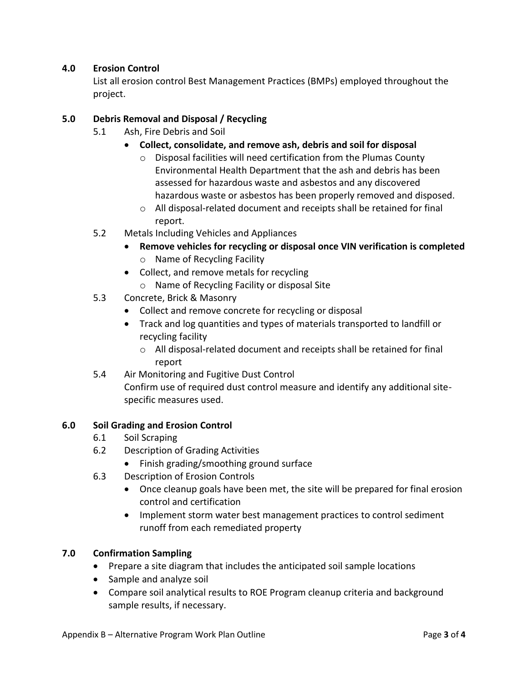#### **4.0 Erosion Control**

List all erosion control Best Management Practices (BMPs) employed throughout the project.

#### **5.0 Debris Removal and Disposal / Recycling**

- 5.1 Ash, Fire Debris and Soil
	- **Collect, consolidate, and remove ash, debris and soil for disposal**
		- o Disposal facilities will need certification from the Plumas County Environmental Health Department that the ash and debris has been assessed for hazardous waste and asbestos and any discovered hazardous waste or asbestos has been properly removed and disposed.
		- o All disposal-related document and receipts shall be retained for final report.
- 5.2 Metals Including Vehicles and Appliances
	- **Remove vehicles for recycling or disposal once VIN verification is completed** o Name of Recycling Facility
	- Collect, and remove metals for recycling
		- o Name of Recycling Facility or disposal Site
- 5.3 Concrete, Brick & Masonry
	- Collect and remove concrete for recycling or disposal
	- Track and log quantities and types of materials transported to landfill or recycling facility
		- o All disposal-related document and receipts shall be retained for final report
- 5.4 Air Monitoring and Fugitive Dust Control Confirm use of required dust control measure and identify any additional sitespecific measures used.

#### **6.0 Soil Grading and Erosion Control**

- 6.1 Soil Scraping
- 6.2 Description of Grading Activities
	- Finish grading/smoothing ground surface
- 6.3 Description of Erosion Controls
	- Once cleanup goals have been met, the site will be prepared for final erosion control and certification
	- Implement storm water best management practices to control sediment runoff from each remediated property

#### **7.0 Confirmation Sampling**

- Prepare a site diagram that includes the anticipated soil sample locations
- Sample and analyze soil
- Compare soil analytical results to ROE Program cleanup criteria and background sample results, if necessary.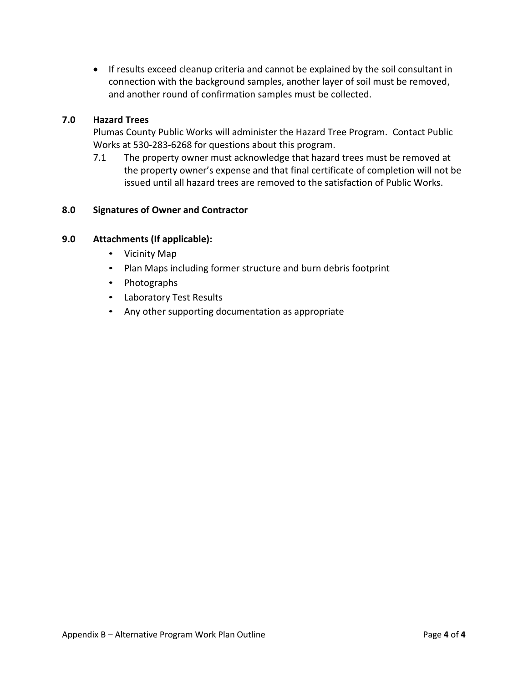If results exceed cleanup criteria and cannot be explained by the soil consultant in connection with the background samples, another layer of soil must be removed, and another round of confirmation samples must be collected.

#### **7.0 Hazard Trees**

Plumas County Public Works will administer the Hazard Tree Program. Contact Public Works at 530-283-6268 for questions about this program.

7.1 The property owner must acknowledge that hazard trees must be removed at the property owner's expense and that final certificate of completion will not be issued until all hazard trees are removed to the satisfaction of Public Works.

#### **8.0 Signatures of Owner and Contractor**

#### **9.0 Attachments (If applicable):**

- Vicinity Map
- Plan Maps including former structure and burn debris footprint
- Photographs
- Laboratory Test Results
- Any other supporting documentation as appropriate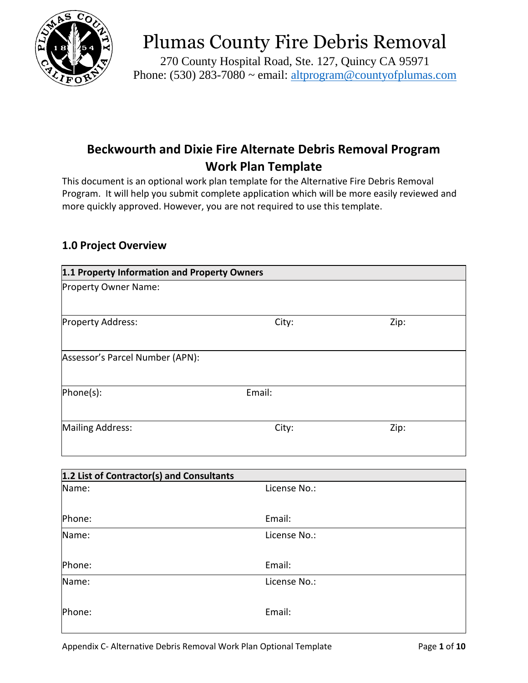

270 County Hospital Road, Ste. 127, Quincy CA 95971 Phone: (530) 283-7080 ~ email: [altprogram@countyofplumas.com](mailto:altprogram@countyofplumas.com)

# <span id="page-25-0"></span>**Beckwourth and Dixie Fire Alternate Debris Removal Program Work Plan Template**

This document is an optional work plan template for the Alternative Fire Debris Removal Program. It will help you submit complete application which will be more easily reviewed and more quickly approved. However, you are not required to use this template.

## **1.0 Project Overview**

| 1.1 Property Information and Property Owners |        |      |
|----------------------------------------------|--------|------|
| Property Owner Name:                         |        |      |
|                                              |        |      |
| Property Address:                            | City:  | Zip: |
| Assessor's Parcel Number (APN):              |        |      |
| [Phone(s)]                                   | Email: |      |
| <b>Mailing Address:</b>                      | City:  | Zip: |
|                                              |        |      |

| 1.2 List of Contractor(s) and Consultants |              |  |
|-------------------------------------------|--------------|--|
| Name:                                     | License No.: |  |
|                                           |              |  |
| Phone:                                    | Email:       |  |
| Name:                                     | License No.: |  |
|                                           |              |  |
| Phone:                                    | Email:       |  |
| Name:                                     | License No.: |  |
|                                           |              |  |
| Phone:                                    | Email:       |  |
|                                           |              |  |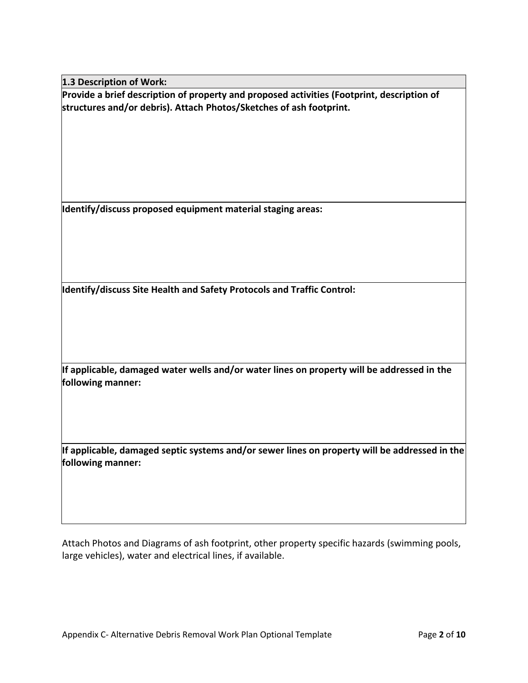**1.3 Description of Work:**

**Provide a brief description of property and proposed activities (Footprint, description of structures and/or debris). Attach Photos/Sketches of ash footprint.**

**Identify/discuss proposed equipment material staging areas:**

**Identify/discuss Site Health and Safety Protocols and Traffic Control:**

**If applicable, damaged water wells and/or water lines on property will be addressed in the following manner:**

**If applicable, damaged septic systems and/or sewer lines on property will be addressed in the following manner:**

Attach Photos and Diagrams of ash footprint, other property specific hazards (swimming pools, large vehicles), water and electrical lines, if available.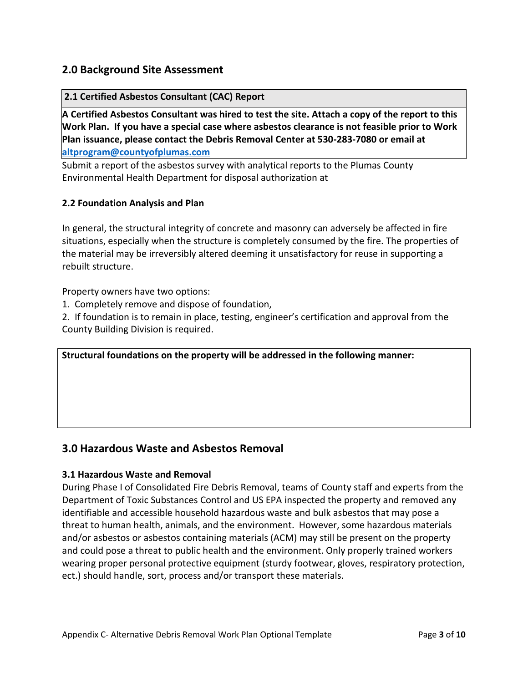#### **2.0 Background Site Assessment**

#### **2.1 Certified Asbestos Consultant (CAC) Report**

**A Certified Asbestos Consultant was hired to test the site. Attach a copy of the report to this Work Plan. If you have a special case where asbestos clearance is not feasible prior to Work Plan issuance, please contact the Debris Removal Center at 530-283-7080 or email at [altprogram@countyofplumas.com](mailto:altprogram@countyofplumas.com)**

Submit a report of the asbestos survey with analytical reports to the Plumas County Environmental Health Department for disposal authorization at

#### **2.2 Foundation Analysis and Plan**

In general, the structural integrity of concrete and masonry can adversely be affected in fire situations, especially when the structure is completely consumed by the fire. The properties of the material may be irreversibly altered deeming it unsatisfactory for reuse in supporting a rebuilt structure.

Property owners have two options:

1. Completely remove and dispose of foundation,

2. If foundation is to remain in place, testing, engineer's certification and approval from the County Building Division is required.

**Structural foundations on the property will be addressed in the following manner:**

#### **3.0 Hazardous Waste and Asbestos Removal**

#### **3.1 Hazardous Waste and Removal**

During Phase I of Consolidated Fire Debris Removal, teams of County staff and experts from the Department of Toxic Substances Control and US EPA inspected the property and removed any identifiable and accessible household hazardous waste and bulk asbestos that may pose a threat to human health, animals, and the environment. However, some hazardous materials and/or asbestos or asbestos containing materials (ACM) may still be present on the property and could pose a threat to public health and the environment. Only properly trained workers wearing proper personal protective equipment (sturdy footwear, gloves, respiratory protection, ect.) should handle, sort, process and/or transport these materials.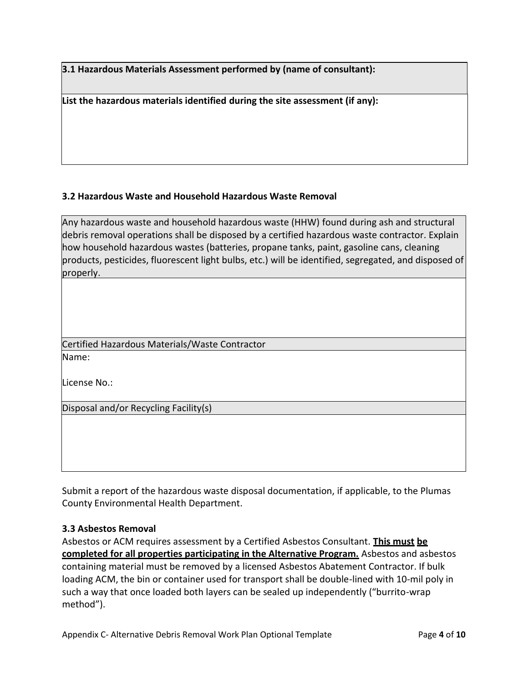**3.1 Hazardous Materials Assessment performed by (name of consultant):**

**List the hazardous materials identified during the site assessment (if any):**

#### **3.2 Hazardous Waste and Household Hazardous Waste Removal**

Any hazardous waste and household hazardous waste (HHW) found during ash and structural debris removal operations shall be disposed by a certified hazardous waste contractor. Explain how household hazardous wastes (batteries, propane tanks, paint, gasoline cans, cleaning products, pesticides, fluorescent light bulbs, etc.) will be identified, segregated, and disposed of properly.

Certified Hazardous Materials/Waste Contractor

Name:

License No.:

Disposal and/or Recycling Facility(s)

Submit a report of the hazardous waste disposal documentation, if applicable, to the Plumas County Environmental Health Department.

#### **3.3 Asbestos Removal**

Asbestos or ACM requires assessment by a Certified Asbestos Consultant. **This must be completed for all properties participating in the Alternative Program.** Asbestos and asbestos containing material must be removed by a licensed Asbestos Abatement Contractor. If bulk loading ACM, the bin or container used for transport shall be double-lined with 10-mil poly in such a way that once loaded both layers can be sealed up independently ("burrito-wrap method").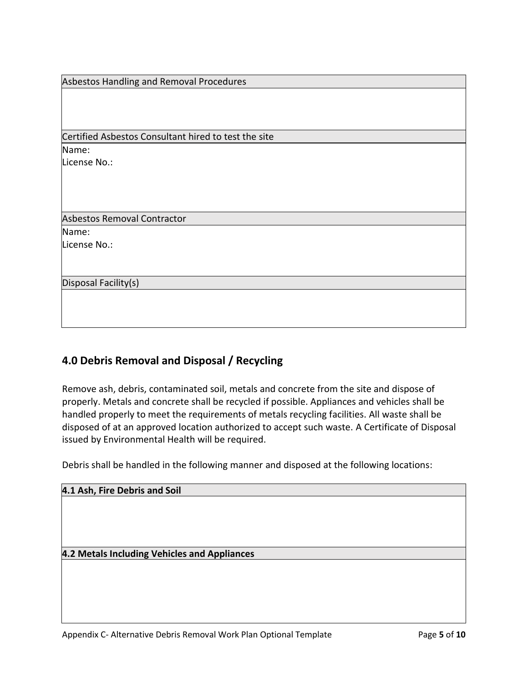| Asbestos Handling and Removal Procedures             |  |  |
|------------------------------------------------------|--|--|
|                                                      |  |  |
|                                                      |  |  |
|                                                      |  |  |
| Certified Asbestos Consultant hired to test the site |  |  |
| Name:                                                |  |  |
|                                                      |  |  |
| License No.:                                         |  |  |
|                                                      |  |  |
|                                                      |  |  |
|                                                      |  |  |
|                                                      |  |  |
| <b>Asbestos Removal Contractor</b>                   |  |  |
| Name:                                                |  |  |
| License No.:                                         |  |  |
|                                                      |  |  |
|                                                      |  |  |
| Disposal Facility(s)                                 |  |  |
|                                                      |  |  |
|                                                      |  |  |
|                                                      |  |  |
|                                                      |  |  |

## **4.0 Debris Removal and Disposal / Recycling**

Remove ash, debris, contaminated soil, metals and concrete from the site and dispose of properly. Metals and concrete shall be recycled if possible. Appliances and vehicles shall be handled properly to meet the requirements of metals recycling facilities. All waste shall be disposed of at an approved location authorized to accept such waste. A Certificate of Disposal issued by Environmental Health will be required.

Debris shall be handled in the following manner and disposed at the following locations:

| 4.1 Ash, Fire Debris and Soil                |  |  |  |  |  |
|----------------------------------------------|--|--|--|--|--|
|                                              |  |  |  |  |  |
|                                              |  |  |  |  |  |
|                                              |  |  |  |  |  |
|                                              |  |  |  |  |  |
| 4.2 Metals Including Vehicles and Appliances |  |  |  |  |  |
|                                              |  |  |  |  |  |
|                                              |  |  |  |  |  |
|                                              |  |  |  |  |  |
|                                              |  |  |  |  |  |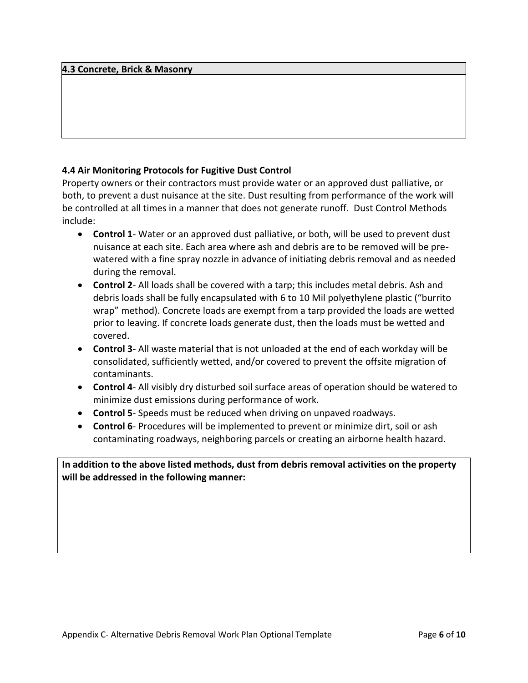#### **4.3 Concrete, Brick & Masonry**

#### **4.4 Air Monitoring Protocols for Fugitive Dust Control**

Property owners or their contractors must provide water or an approved dust palliative, or both, to prevent a dust nuisance at the site. Dust resulting from performance of the work will be controlled at all times in a manner that does not generate runoff. Dust Control Methods include:

- **Control 1** Water or an approved dust palliative, or both, will be used to prevent dust nuisance at each site. Each area where ash and debris are to be removed will be prewatered with a fine spray nozzle in advance of initiating debris removal and as needed during the removal.
- **Control 2** All loads shall be covered with a tarp; this includes metal debris. Ash and debris loads shall be fully encapsulated with 6 to 10 Mil polyethylene plastic ("burrito wrap" method). Concrete loads are exempt from a tarp provided the loads are wetted prior to leaving. If concrete loads generate dust, then the loads must be wetted and covered.
- **Control 3** All waste material that is not unloaded at the end of each workday will be consolidated, sufficiently wetted, and/or covered to prevent the offsite migration of contaminants.
- **Control 4** All visibly dry disturbed soil surface areas of operation should be watered to minimize dust emissions during performance of work.
- **Control 5** Speeds must be reduced when driving on unpaved roadways.
- **Control 6** Procedures will be implemented to prevent or minimize dirt, soil or ash contaminating roadways, neighboring parcels or creating an airborne health hazard.

**In addition to the above listed methods, dust from debris removal activities on the property will be addressed in the following manner:**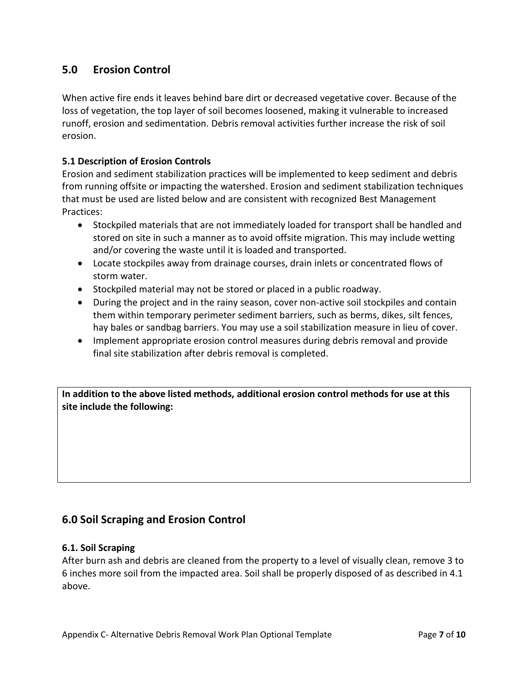## **5.0 Erosion Control**

When active fire ends it leaves behind bare dirt or decreased vegetative cover. Because of the loss of vegetation, the top layer of soil becomes loosened, making it vulnerable to increased runoff, erosion and sedimentation. Debris removal activities further increase the risk of soil erosion.

#### **5.1 Description of Erosion Controls**

Erosion and sediment stabilization practices will be implemented to keep sediment and debris from running offsite or impacting the watershed. Erosion and sediment stabilization techniques that must be used are listed below and are consistent with recognized Best Management Practices:

- Stockpiled materials that are not immediately loaded for transport shall be handled and stored on site in such a manner as to avoid offsite migration. This may include wetting and/or covering the waste until it is loaded and transported.
- Locate stockpiles away from drainage courses, drain inlets or concentrated flows of storm water.
- Stockpiled material may not be stored or placed in a public roadway.
- During the project and in the rainy season, cover non-active soil stockpiles and contain them within temporary perimeter sediment barriers, such as berms, dikes, silt fences, hay bales or sandbag barriers. You may use a soil stabilization measure in lieu of cover.
- Implement appropriate erosion control measures during debris removal and provide final site stabilization after debris removal is completed.

**In addition to the above listed methods, additional erosion control methods for use at this site include the following:**

### **6.0 Soil Scraping and Erosion Control**

#### **6.1. Soil Scraping**

After burn ash and debris are cleaned from the property to a level of visually clean, remove 3 to 6 inches more soil from the impacted area. Soil shall be properly disposed of as described in 4.1 above.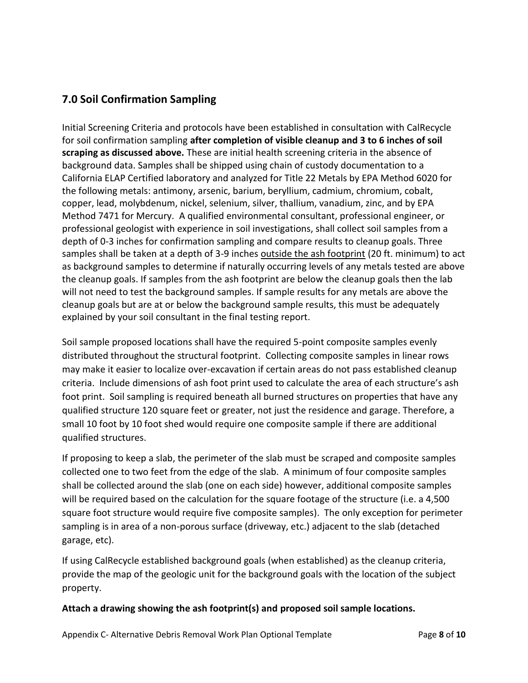## **7.0 Soil Confirmation Sampling**

Initial Screening Criteria and protocols have been established in consultation with CalRecycle for soil confirmation sampling **after completion of visible cleanup and 3 to 6 inches of soil scraping as discussed above.** These are initial health screening criteria in the absence of background data. Samples shall be shipped using chain of custody documentation to a California ELAP Certified laboratory and analyzed for Title 22 Metals by EPA Method 6020 for the following metals: antimony, arsenic, barium, beryllium, cadmium, chromium, cobalt, copper, lead, molybdenum, nickel, selenium, silver, thallium, vanadium, zinc, and by EPA Method 7471 for Mercury. A qualified environmental consultant, professional engineer, or professional geologist with experience in soil investigations, shall collect soil samples from a depth of 0-3 inches for confirmation sampling and compare results to cleanup goals. Three samples shall be taken at a depth of 3-9 inches outside the ash footprint (20 ft. minimum) to act as background samples to determine if naturally occurring levels of any metals tested are above the cleanup goals. If samples from the ash footprint are below the cleanup goals then the lab will not need to test the background samples. If sample results for any metals are above the cleanup goals but are at or below the background sample results, this must be adequately explained by your soil consultant in the final testing report.

Soil sample proposed locations shall have the required 5-point composite samples evenly distributed throughout the structural footprint. Collecting composite samples in linear rows may make it easier to localize over-excavation if certain areas do not pass established cleanup criteria. Include dimensions of ash foot print used to calculate the area of each structure's ash foot print. Soil sampling is required beneath all burned structures on properties that have any qualified structure 120 square feet or greater, not just the residence and garage. Therefore, a small 10 foot by 10 foot shed would require one composite sample if there are additional qualified structures.

If proposing to keep a slab, the perimeter of the slab must be scraped and composite samples collected one to two feet from the edge of the slab. A minimum of four composite samples shall be collected around the slab (one on each side) however, additional composite samples will be required based on the calculation for the square footage of the structure (i.e. a 4,500 square foot structure would require five composite samples). The only exception for perimeter sampling is in area of a non-porous surface (driveway, etc.) adjacent to the slab (detached garage, etc).

If using CalRecycle established background goals (when established) as the cleanup criteria, provide the map of the geologic unit for the background goals with the location of the subject property.

#### **Attach a drawing showing the ash footprint(s) and proposed soil sample locations.**

Appendix C- Alternative Debris Removal Work Plan Optional Template Page **8** of **10**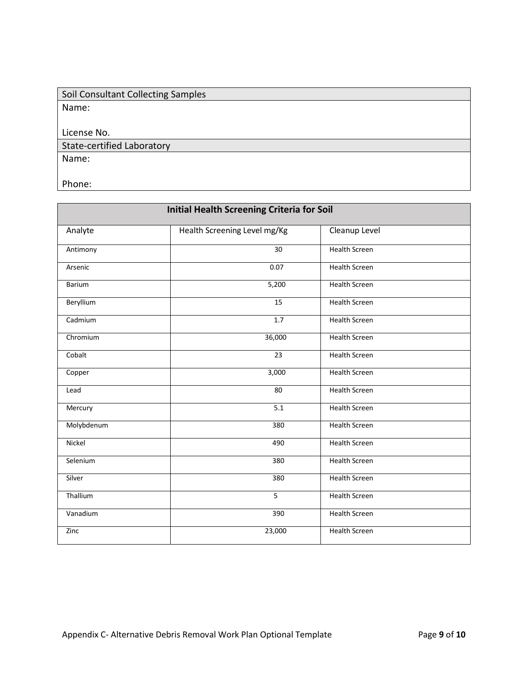| Soil Consultant Collecting Samples |
|------------------------------------|
| Name:                              |
|                                    |
| License No.                        |
| State-certified Laboratory         |
| Name:                              |
|                                    |

Phone:

| <b>Initial Health Screening Criteria for Soil</b> |                              |                      |  |  |
|---------------------------------------------------|------------------------------|----------------------|--|--|
| Analyte                                           | Health Screening Level mg/Kg | Cleanup Level        |  |  |
| Antimony                                          | 30                           | <b>Health Screen</b> |  |  |
| Arsenic                                           | 0.07                         | <b>Health Screen</b> |  |  |
| <b>Barium</b>                                     | 5,200                        | <b>Health Screen</b> |  |  |
| Beryllium                                         | 15                           | <b>Health Screen</b> |  |  |
| Cadmium                                           | 1.7                          | <b>Health Screen</b> |  |  |
| Chromium                                          | 36,000                       | <b>Health Screen</b> |  |  |
| Cobalt                                            | 23                           | <b>Health Screen</b> |  |  |
| Copper                                            | 3,000                        | <b>Health Screen</b> |  |  |
| Lead                                              | 80                           | <b>Health Screen</b> |  |  |
| Mercury                                           | 5.1                          | <b>Health Screen</b> |  |  |
| Molybdenum                                        | 380                          | <b>Health Screen</b> |  |  |
| Nickel                                            | 490                          | <b>Health Screen</b> |  |  |
| Selenium                                          | 380                          | <b>Health Screen</b> |  |  |
| Silver                                            | 380                          | <b>Health Screen</b> |  |  |
| Thallium                                          | 5                            | <b>Health Screen</b> |  |  |
| Vanadium                                          | 390                          | <b>Health Screen</b> |  |  |
| Zinc                                              | 23,000                       | <b>Health Screen</b> |  |  |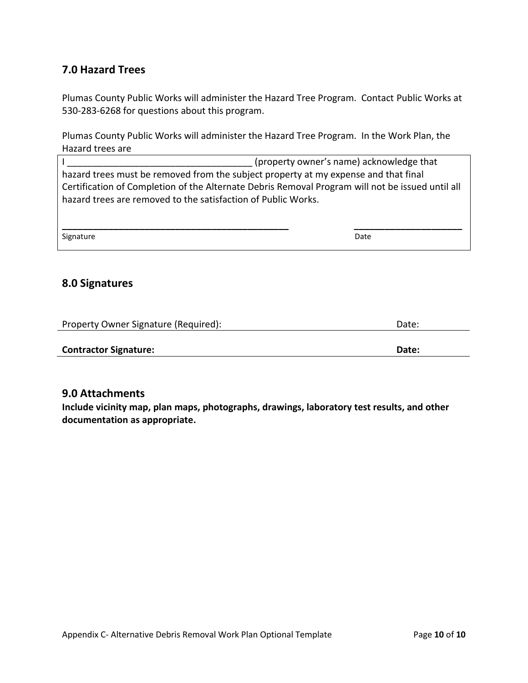### **7.0 Hazard Trees**

Plumas County Public Works will administer the Hazard Tree Program. Contact Public Works at 530-283-6268 for questions about this program.

Plumas County Public Works will administer the Hazard Tree Program. In the Work Plan, the Hazard trees are

**\_\_\_\_\_\_\_\_\_\_\_\_\_\_\_\_\_\_\_\_\_\_\_\_\_\_\_\_\_\_\_\_\_\_\_\_\_\_\_\_\_\_\_\_ \_\_\_\_\_\_\_\_\_\_\_\_\_\_\_\_\_\_\_\_\_**

Signature Date

#### **8.0 Signatures**

| Property Owner Signature (Required): | Date: |
|--------------------------------------|-------|
|                                      |       |
| <b>Contractor Signature:</b>         | Date: |

#### **9.0 Attachments**

**Include vicinity map, plan maps, photographs, drawings, laboratory test results, and other documentation as appropriate.**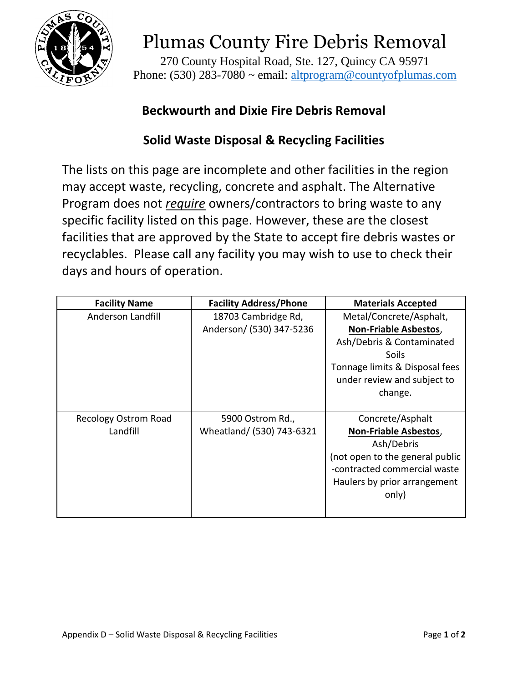

270 County Hospital Road, Ste. 127, Quincy CA 95971 Phone: (530) 283-7080 ~ email: [altprogram@countyofplumas.com](mailto:altprogram@countyofplumas.com)

# **Beckwourth and Dixie Fire Debris Removal**

## **Solid Waste Disposal & Recycling Facilities**

<span id="page-35-0"></span>The lists on this page are incomplete and other facilities in the region may accept waste, recycling, concrete and asphalt. The Alternative Program does not *require* owners/contractors to bring waste to any specific facility listed on this page. However, these are the closest facilities that are approved by the State to accept fire debris wastes or recyclables. Please call any facility you may wish to use to check their days and hours of operation.

| <b>Facility Name</b>        | <b>Facility Address/Phone</b> | <b>Materials Accepted</b>       |
|-----------------------------|-------------------------------|---------------------------------|
| Anderson Landfill           | 18703 Cambridge Rd,           | Metal/Concrete/Asphalt,         |
|                             | Anderson/ (530) 347-5236      | <b>Non-Friable Asbestos,</b>    |
|                             |                               | Ash/Debris & Contaminated       |
|                             |                               | Soils                           |
|                             |                               | Tonnage limits & Disposal fees  |
|                             |                               | under review and subject to     |
|                             |                               | change.                         |
|                             |                               |                                 |
| <b>Recology Ostrom Road</b> | 5900 Ostrom Rd.,              | Concrete/Asphalt                |
| Landfill                    | Wheatland/ (530) 743-6321     | <b>Non-Friable Asbestos,</b>    |
|                             |                               | Ash/Debris                      |
|                             |                               | (not open to the general public |
|                             |                               | -contracted commercial waste    |
|                             |                               | Haulers by prior arrangement    |
|                             |                               | only)                           |
|                             |                               |                                 |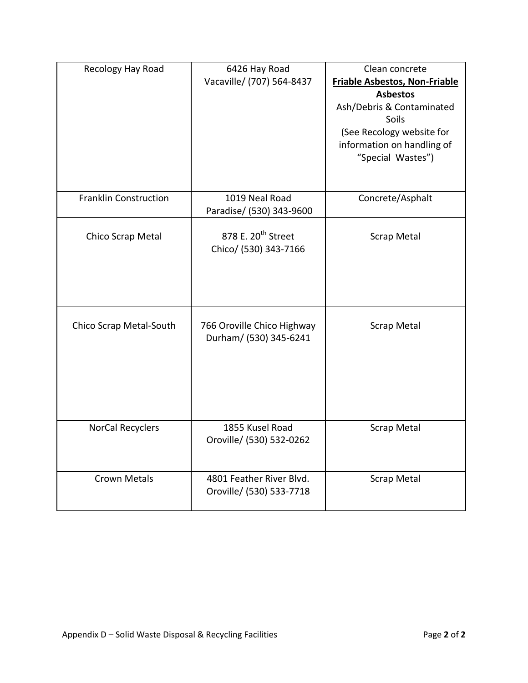| Recology Hay Road            | 6426 Hay Road<br>Vacaville/ (707) 564-8437              | Clean concrete<br>Friable Asbestos, Non-Friable<br><b>Asbestos</b><br>Ash/Debris & Contaminated<br>Soils<br>(See Recology website for<br>information on handling of<br>"Special Wastes") |
|------------------------------|---------------------------------------------------------|------------------------------------------------------------------------------------------------------------------------------------------------------------------------------------------|
| <b>Franklin Construction</b> | 1019 Neal Road<br>Paradise/ (530) 343-9600              | Concrete/Asphalt                                                                                                                                                                         |
| Chico Scrap Metal            | 878 E. 20 <sup>th</sup> Street<br>Chico/ (530) 343-7166 | <b>Scrap Metal</b>                                                                                                                                                                       |
| Chico Scrap Metal-South      | 766 Oroville Chico Highway<br>Durham/ (530) 345-6241    | <b>Scrap Metal</b>                                                                                                                                                                       |
| <b>NorCal Recyclers</b>      | 1855 Kusel Road<br>Oroville/ (530) 532-0262             | <b>Scrap Metal</b>                                                                                                                                                                       |
| <b>Crown Metals</b>          | 4801 Feather River Blvd.<br>Oroville/ (530) 533-7718    | <b>Scrap Metal</b>                                                                                                                                                                       |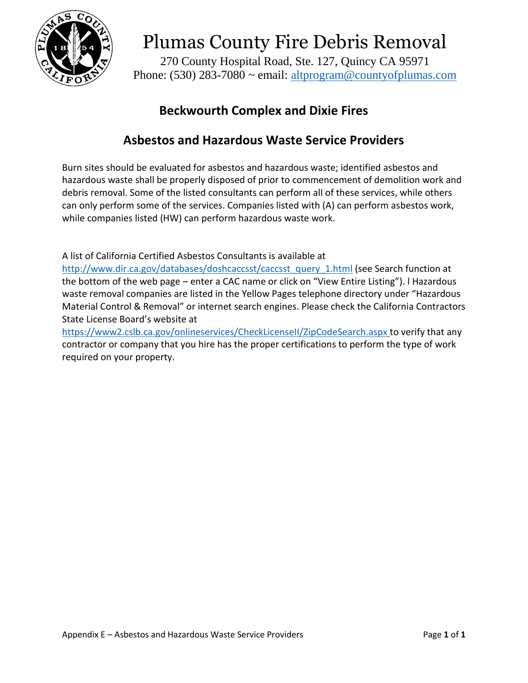

270 County Hospital Road, Ste. 127, Quincy CA 95971 Phone: (530) 283-7080 ~ email: [altprogram@countyofplumas.com](mailto:altprogram@countyofplumas.com)

# **Beckwourth Complex and Dixie Fires**

## **Asbestos and Hazardous Waste Service Providers**

<span id="page-37-0"></span>Burn sites should be evaluated for asbestos and hazardous waste; identified asbestos and hazardous waste shall be properly disposed of prior to commencement of demolition work and debris removal. Some of the listed consultants can perform all of these services, while others can only perform some of the services. Companies listed with (A) can perform asbestos work, while companies listed (HW) can perform hazardous waste work.

A list of California Certified Asbestos Consultants is available at

[http://www.dir.ca.gov/databases/doshcaccsst/caccsst\\_query\\_1.html](http://www.dir.ca.gov/databases/doshcaccsst/caccsst_query_1.html) (see Search function at the bottom of the web page – enter a CAC name or click on "View Entire Listing"). l Hazardous waste removal companies are listed in the Yellow Pages telephone directory under "Hazardous Material Control & Removal" or internet search engines. Please check the California Contractors State License Board's website at

<https://www2.cslb.ca.gov/onlineservices/CheckLicenseII/ZipCodeSearch.aspx> to verify that any contractor or company that you hire has the proper certifications to perform the type of work required on your property.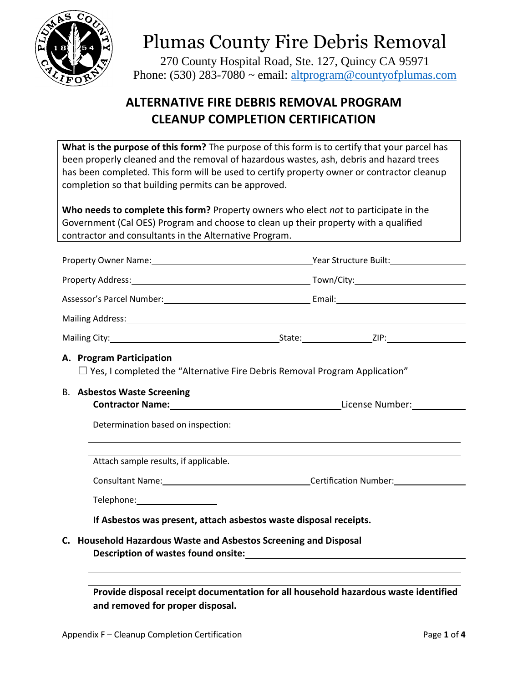

270 County Hospital Road, Ste. 127, Quincy CA 95971 Phone: (530) 283-7080  $\sim$  email: [altprogram@countyofplumas.com](mailto:altprogram@countyofplumas.com)

# **ALTERNATIVE FIRE DEBRIS REMOVAL PROGRAM CLEANUP COMPLETION CERTIFICATION**

<span id="page-38-0"></span>**What is the purpose of this form?** The purpose of this form is to certify that your parcel has been properly cleaned and the removal of hazardous wastes, ash, debris and hazard trees has been completed. This form will be used to certify property owner or contractor cleanup completion so that building permits can be approved.

**Who needs to complete this form?** Property owners who elect *not* to participate in the Government (Cal OES) Program and choose to clean up their property with a qualified contractor and consultants in the Alternative Program.

| A. Program Participation<br>$\Box$ Yes, I completed the "Alternative Fire Debris Removal Program Application" |                                                                   |                                                                                                                                                                                                                                                                      |  |  |  |  |  |
|---------------------------------------------------------------------------------------------------------------|-------------------------------------------------------------------|----------------------------------------------------------------------------------------------------------------------------------------------------------------------------------------------------------------------------------------------------------------------|--|--|--|--|--|
|                                                                                                               |                                                                   | <b>B.</b> Asbestos Waste Screening<br>Contractor Name: Mame: Manual According Manual According License Number: Manual According Manual According Manual According Manual According Manual According Manual According Manual According Manual According Manual Accord |  |  |  |  |  |
|                                                                                                               |                                                                   | Determination based on inspection:                                                                                                                                                                                                                                   |  |  |  |  |  |
|                                                                                                               |                                                                   | Attach sample results, if applicable.                                                                                                                                                                                                                                |  |  |  |  |  |
|                                                                                                               |                                                                   | Consultant Name: Consultant Name: Certification Number:                                                                                                                                                                                                              |  |  |  |  |  |
|                                                                                                               |                                                                   |                                                                                                                                                                                                                                                                      |  |  |  |  |  |
|                                                                                                               | If Asbestos was present, attach asbestos waste disposal receipts. |                                                                                                                                                                                                                                                                      |  |  |  |  |  |
|                                                                                                               |                                                                   | C. Household Hazardous Waste and Asbestos Screening and Disposal                                                                                                                                                                                                     |  |  |  |  |  |
|                                                                                                               |                                                                   |                                                                                                                                                                                                                                                                      |  |  |  |  |  |

**Provide disposal receipt documentation for all household hazardous waste identified and removed for proper disposal.**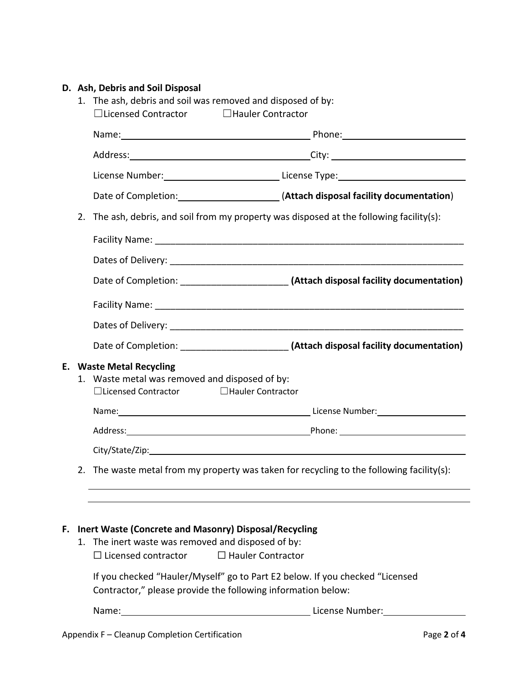### **D. Ash, Debris and Soil Disposal**

|    |    | 1. The ash, debris and soil was removed and disposed of by:<br>$\Box$ Licensed Contractor<br>□ Hauler Contractor                             |                                                                                                                                                                                                                                     |  |  |
|----|----|----------------------------------------------------------------------------------------------------------------------------------------------|-------------------------------------------------------------------------------------------------------------------------------------------------------------------------------------------------------------------------------------|--|--|
|    |    |                                                                                                                                              | Name: Name: Name: Name: Name: Name: Name: Name: Name: Name: Name: Name: Name: Name: Name: Name: Name: Name: Name: Name: Name: Name: Name: Name: Name: Name: Name: Name: Name: Name: Name: Name: Name: Name: Name: Name: Name:       |  |  |
|    |    |                                                                                                                                              |                                                                                                                                                                                                                                     |  |  |
|    |    |                                                                                                                                              | License Number: _________________________________License Type: __________________                                                                                                                                                   |  |  |
|    |    |                                                                                                                                              | Date of Completion: [100] (Attach disposal facility documentation)                                                                                                                                                                  |  |  |
|    | 2. |                                                                                                                                              | The ash, debris, and soil from my property was disposed at the following facility(s):                                                                                                                                               |  |  |
|    |    |                                                                                                                                              |                                                                                                                                                                                                                                     |  |  |
|    |    |                                                                                                                                              |                                                                                                                                                                                                                                     |  |  |
|    |    |                                                                                                                                              |                                                                                                                                                                                                                                     |  |  |
|    |    |                                                                                                                                              |                                                                                                                                                                                                                                     |  |  |
|    |    |                                                                                                                                              |                                                                                                                                                                                                                                     |  |  |
|    |    |                                                                                                                                              |                                                                                                                                                                                                                                     |  |  |
|    | 1. | <b>E.</b> Waste Metal Recycling<br>Waste metal was removed and disposed of by:<br>□Hauler Contractor<br>$\Box$ Licensed Contractor           |                                                                                                                                                                                                                                     |  |  |
|    |    |                                                                                                                                              | Name: <u>Name:</u> Name: Name: Number: Number: Number: Number: Number: Number: Number: Number: Number: Number: Number: Number: Number: Number: Number: Number: Number: Number: Number: Number: Number: Number: Number: Number: Numb |  |  |
|    |    |                                                                                                                                              |                                                                                                                                                                                                                                     |  |  |
|    |    |                                                                                                                                              |                                                                                                                                                                                                                                     |  |  |
|    |    |                                                                                                                                              | 2. The waste metal from my property was taken for recycling to the following facility(s):                                                                                                                                           |  |  |
|    |    |                                                                                                                                              |                                                                                                                                                                                                                                     |  |  |
| F. |    | Inert Waste (Concrete and Masonry) Disposal/Recycling<br>1. The inert waste was removed and disposed of by:<br>$\Box$ Licensed contractor    | $\Box$ Hauler Contractor                                                                                                                                                                                                            |  |  |
|    |    | If you checked "Hauler/Myself" go to Part E2 below. If you checked "Licensed<br>Contractor," please provide the following information below: |                                                                                                                                                                                                                                     |  |  |
|    |    |                                                                                                                                              |                                                                                                                                                                                                                                     |  |  |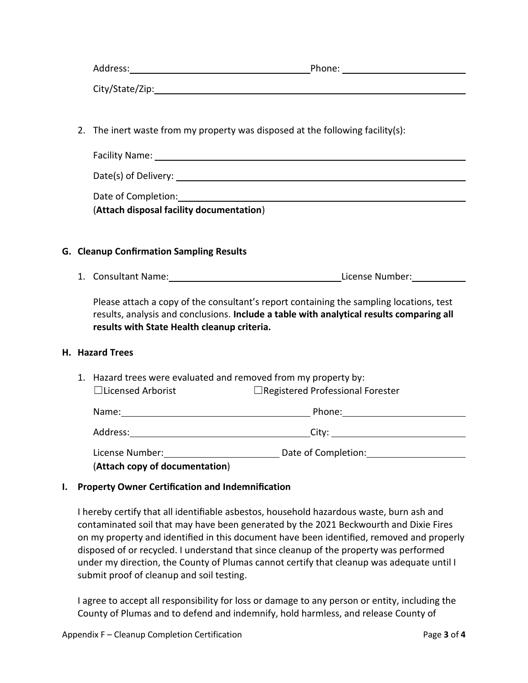| Address:        | Phone: |
|-----------------|--------|
| City/State/Zip: |        |

2. The inert waste from my property was disposed at the following facility(s):

| Facility Name:       |  |  |
|----------------------|--|--|
| Date(s) of Delivery: |  |  |
| Date of Completion:  |  |  |

(**Attach disposal facility documentation**)

#### **G. Cleanup Confirmation Sampling Results**

1. Consultant Name: License Number:

Please attach a copy of the consultant's report containing the sampling locations, test results, analysis and conclusions. **Include a table with analytical results comparing all results with State Health cleanup criteria.**

#### **H. Hazard Trees**

1. Hazard trees were evaluated and removed from my property by: ☐Licensed Arborist ☐Registered Professional Forester

| Name:                                                                                | Phone:              |  |
|--------------------------------------------------------------------------------------|---------------------|--|
| Address:                                                                             | City:               |  |
| License Number:<br>$(A + b)$ and $(A + b)$ and $(A + b)$ and $(A + b)$ and $(A + b)$ | Date of Completion: |  |

#### (**Attach copy of documentation**)

#### **I. Property Owner Certification and Indemnification**

I hereby certify that all identifiable asbestos, household hazardous waste, burn ash and contaminated soil that may have been generated by the 2021 Beckwourth and Dixie Fires on my property and identified in this document have been identified, removed and properly disposed of or recycled. I understand that since cleanup of the property was performed under my direction, the County of Plumas cannot certify that cleanup was adequate until I submit proof of cleanup and soil testing.

I agree to accept all responsibility for loss or damage to any person or entity, including the County of Plumas and to defend and indemnify, hold harmless, and release County of